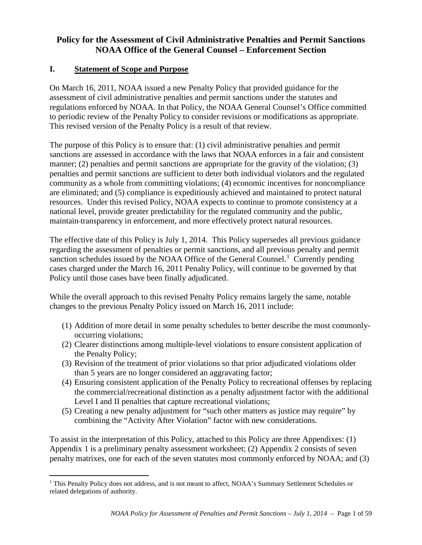## **Policy for the Assessment of Civil Administrative Penalties and Permit Sanctions NOAA Office of the General Counsel – Enforcement Section**

## **I. Statement of Scope and Purpose**

On March 16, 2011, NOAA issued a new Penalty Policy that provided guidance for the assessment of civil administrative penalties and permit sanctions under the statutes and regulations enforced by NOAA. In that Policy, the NOAA General Counsel's Office committed to periodic review of the Penalty Policy to consider revisions or modifications as appropriate. This revised version of the Penalty Policy is a result of that review.

The purpose of this Policy is to ensure that: (1) civil administrative penalties and permit sanctions are assessed in accordance with the laws that NOAA enforces in a fair and consistent manner; (2) penalties and permit sanctions are appropriate for the gravity of the violation; (3) penalties and permit sanctions are sufficient to deter both individual violators and the regulated community as a whole from committing violations; (4) economic incentives for noncompliance are eliminated; and (5) compliance is expeditiously achieved and maintained to protect natural resources. Under this revised Policy, NOAA expects to continue to promote consistency at a national level, provide greater predictability for the regulated community and the public, maintain transparency in enforcement, and more effectively protect natural resources.

The effective date of this Policy is July 1, 2014. This Policy supersedes all previous guidance regarding the assessment of penalties or permit sanctions, and all previous penalty and permit sanction schedules issued by the NOAA Office of the General Counsel.<sup>[1](#page-0-0)</sup> Currently pending cases charged under the March 16, 2011 Penalty Policy, will continue to be governed by that Policy until those cases have been finally adjudicated.

While the overall approach to this revised Penalty Policy remains largely the same, notable changes to the previous Penalty Policy issued on March 16, 2011 include:

- (1) Addition of more detail in some penalty schedules to better describe the most commonlyoccurring violations;
- (2) Clearer distinctions among multiple-level violations to ensure consistent application of the Penalty Policy;
- (3) Revision of the treatment of prior violations so that prior adjudicated violations older than 5 years are no longer considered an aggravating factor;
- (4) Ensuring consistent application of the Penalty Policy to recreational offenses by replacing the commercial/recreational distinction as a penalty adjustment factor with the additional Level I and II penalties that capture recreational violations;
- (5) Creating a new penalty adjustment for "such other matters as justice may require" by combining the "Activity After Violation" factor with new considerations.

To assist in the interpretation of this Policy, attached to this Policy are three Appendixes: (1) Appendix 1 is a preliminary penalty assessment worksheet; (2) Appendix 2 consists of seven penalty matrixes, one for each of the seven statutes most commonly enforced by NOAA; and (3)

<span id="page-0-0"></span><sup>&</sup>lt;sup>1</sup> This Penalty Policy does not address, and is not meant to affect, NOAA's Summary Settlement Schedules or related delegations of authority.  $\overline{a}$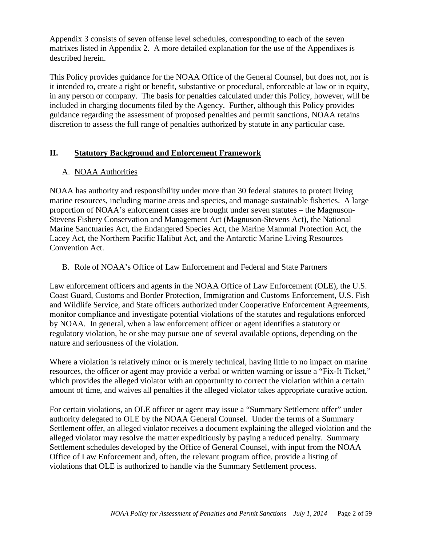Appendix 3 consists of seven offense level schedules, corresponding to each of the seven matrixes listed in Appendix 2. A more detailed explanation for the use of the Appendixes is described herein.

This Policy provides guidance for the NOAA Office of the General Counsel, but does not, nor is it intended to, create a right or benefit, substantive or procedural, enforceable at law or in equity, in any person or company. The basis for penalties calculated under this Policy, however, will be included in charging documents filed by the Agency. Further, although this Policy provides guidance regarding the assessment of proposed penalties and permit sanctions, NOAA retains discretion to assess the full range of penalties authorized by statute in any particular case.

## **II. Statutory Background and Enforcement Framework**

## A. NOAA Authorities

NOAA has authority and responsibility under more than 30 federal statutes to protect living marine resources, including marine areas and species, and manage sustainable fisheries. A large proportion of NOAA's enforcement cases are brought under seven statutes – the Magnuson-Stevens Fishery Conservation and Management Act (Magnuson-Stevens Act), the National Marine Sanctuaries Act, the Endangered Species Act, the Marine Mammal Protection Act, the Lacey Act, the Northern Pacific Halibut Act, and the Antarctic Marine Living Resources Convention Act.

## B. Role of NOAA's Office of Law Enforcement and Federal and State Partners

Law enforcement officers and agents in the NOAA Office of Law Enforcement (OLE), the U.S. Coast Guard, Customs and Border Protection, Immigration and Customs Enforcement, U.S. Fish and Wildlife Service, and State officers authorized under Cooperative Enforcement Agreements, monitor compliance and investigate potential violations of the statutes and regulations enforced by NOAA. In general, when a law enforcement officer or agent identifies a statutory or regulatory violation, he or she may pursue one of several available options, depending on the nature and seriousness of the violation.

Where a violation is relatively minor or is merely technical, having little to no impact on marine resources, the officer or agent may provide a verbal or written warning or issue a "Fix-It Ticket," which provides the alleged violator with an opportunity to correct the violation within a certain amount of time, and waives all penalties if the alleged violator takes appropriate curative action.

For certain violations, an OLE officer or agent may issue a "Summary Settlement offer" under authority delegated to OLE by the NOAA General Counsel. Under the terms of a Summary Settlement offer, an alleged violator receives a document explaining the alleged violation and the alleged violator may resolve the matter expeditiously by paying a reduced penalty. Summary Settlement schedules developed by the Office of General Counsel, with input from the NOAA Office of Law Enforcement and, often, the relevant program office, provide a listing of violations that OLE is authorized to handle via the Summary Settlement process.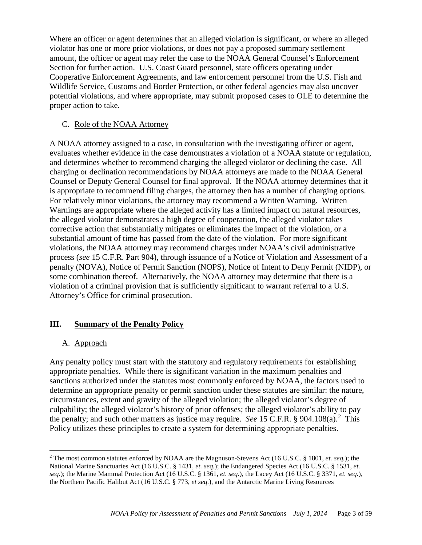Where an officer or agent determines that an alleged violation is significant, or where an alleged violator has one or more prior violations, or does not pay a proposed summary settlement amount, the officer or agent may refer the case to the NOAA General Counsel's Enforcement Section for further action. U.S. Coast Guard personnel, state officers operating under Cooperative Enforcement Agreements, and law enforcement personnel from the U.S. Fish and Wildlife Service, Customs and Border Protection, or other federal agencies may also uncover potential violations, and where appropriate, may submit proposed cases to OLE to determine the proper action to take.

#### C. Role of the NOAA Attorney

A NOAA attorney assigned to a case, in consultation with the investigating officer or agent, evaluates whether evidence in the case demonstrates a violation of a NOAA statute or regulation, and determines whether to recommend charging the alleged violator or declining the case. All charging or declination recommendations by NOAA attorneys are made to the NOAA General Counsel or Deputy General Counsel for final approval. If the NOAA attorney determines that it is appropriate to recommend filing charges, the attorney then has a number of charging options. For relatively minor violations, the attorney may recommend a Written Warning. Written Warnings are appropriate where the alleged activity has a limited impact on natural resources, the alleged violator demonstrates a high degree of cooperation, the alleged violator takes corrective action that substantially mitigates or eliminates the impact of the violation, or a substantial amount of time has passed from the date of the violation. For more significant violations, the NOAA attorney may recommend charges under NOAA's civil administrative process (*see* 15 C.F.R. Part 904), through issuance of a Notice of Violation and Assessment of a penalty (NOVA), Notice of Permit Sanction (NOPS), Notice of Intent to Deny Permit (NIDP), or some combination thereof. Alternatively, the NOAA attorney may determine that there is a violation of a criminal provision that is sufficiently significant to warrant referral to a U.S. Attorney's Office for criminal prosecution.

## **III. Summary of the Penalty Policy**

## A. Approach

Any penalty policy must start with the statutory and regulatory requirements for establishing appropriate penalties. While there is significant variation in the maximum penalties and sanctions authorized under the statutes most commonly enforced by NOAA, the factors used to determine an appropriate penalty or permit sanction under these statutes are similar: the nature, circumstances, extent and gravity of the alleged violation; the alleged violator's degree of culpability; the alleged violator's history of prior offenses; the alleged violator's ability to pay the penalty; and such other matters as justice may require. *See* 15 C.F.R.  $\S$  904.108(a).<sup>[2](#page-2-0)</sup> This Policy utilizes these principles to create a system for determining appropriate penalties.

<span id="page-2-0"></span><sup>2</sup> The most common statutes enforced by NOAA are the Magnuson-Stevens Act (16 U.S.C. § 1801, *et. seq.*); the National Marine Sanctuaries Act (16 U.S.C. § 1431, *et. seq.*); the Endangered Species Act (16 U.S.C. § 1531, *et. seq.*); the Marine Mammal Protection Act (16 U.S.C. § 1361, *et. seq.*), the Lacey Act (16 U.S.C. § 3371, *et. seq.*), the Northern Pacific Halibut Act (16 U.S.C. § 773, *et seq.*), and the Antarctic Marine Living Resources  $\overline{a}$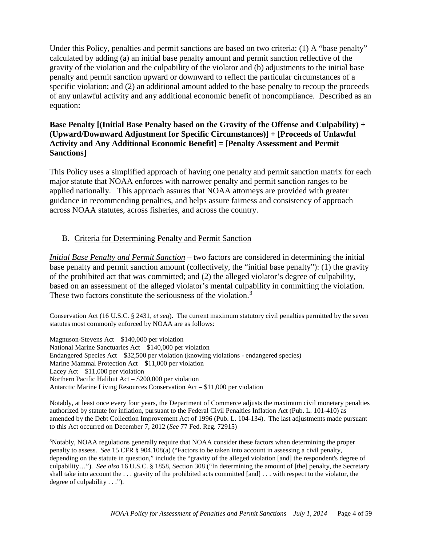Under this Policy, penalties and permit sanctions are based on two criteria: (1) A "base penalty" calculated by adding (a) an initial base penalty amount and permit sanction reflective of the gravity of the violation and the culpability of the violator and (b) adjustments to the initial base penalty and permit sanction upward or downward to reflect the particular circumstances of a specific violation; and (2) an additional amount added to the base penalty to recoup the proceeds of any unlawful activity and any additional economic benefit of noncompliance. Described as an equation:

## **Base Penalty [(Initial Base Penalty based on the Gravity of the Offense and Culpability) + (Upward/Downward Adjustment for Specific Circumstances)] + [Proceeds of Unlawful Activity and Any Additional Economic Benefit] = [Penalty Assessment and Permit Sanctions]**

This Policy uses a simplified approach of having one penalty and permit sanction matrix for each major statute that NOAA enforces with narrower penalty and permit sanction ranges to be applied nationally. This approach assures that NOAA attorneys are provided with greater guidance in recommending penalties, and helps assure fairness and consistency of approach across NOAA statutes, across fisheries, and across the country.

## B. Criteria for Determining Penalty and Permit Sanction

*Initial Base Penalty and Permit Sanction* – two factors are considered in determining the initial base penalty and permit sanction amount (collectively, the "initial base penalty"): (1) the gravity of the prohibited act that was committed; and (2) the alleged violator's degree of culpability, based on an assessment of the alleged violator's mental culpability in committing the violation. These two factors constitute the seriousness of the violation.<sup>[3](#page-3-0)</sup>

Magnuson-Stevens Act – \$140,000 per violation National Marine Sanctuaries Act – \$140,000 per violation

- Endangered Species Act \$32,500 per violation (knowing violations endangered species)
- Marine Mammal Protection Act \$11,000 per violation
- Lacey Act \$11,000 per violation

 $\overline{a}$ 

Conservation Act (16 U.S.C. § 2431, *et seq*). The current maximum statutory civil penalties permitted by the seven statutes most commonly enforced by NOAA are as follows:

Northern Pacific Halibut Act – \$200,000 per violation

Antarctic Marine Living Resources Conservation Act – \$11,000 per violation

Notably, at least once every four years, the Department of Commerce adjusts the maximum civil monetary penalties authorized by statute for inflation, pursuant to the Federal Civil Penalties Inflation Act (Pub. L. 101-410) as amended by the Debt Collection Improvement Act of 1996 (Pub. L. 104-134). The last adjustments made pursuant to this Act occurred on December 7, 2012 (*See* 77 Fed. Reg. 72915)

<span id="page-3-0"></span><sup>&</sup>lt;sup>3</sup>Notably, NOAA regulations generally require that NOAA consider these factors when determining the proper penalty to assess. *See* 15 CFR § 904.108(a) ("Factors to be taken into account in assessing a civil penalty, depending on the statute in question," include the "gravity of the alleged violation [and] the respondent's degree of culpability…"). *See also* 16 U.S.C. § 1858, Section 308 ("In determining the amount of [the] penalty, the Secretary shall take into account the . . . gravity of the prohibited acts committed [and] . . . with respect to the violator, the degree of culpability . . .").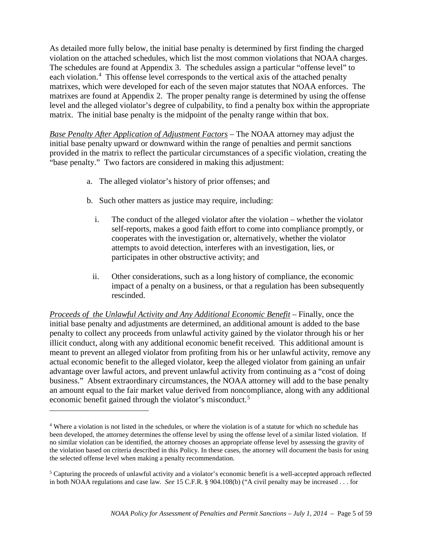As detailed more fully below, the initial base penalty is determined by first finding the charged violation on the attached schedules, which list the most common violations that NOAA charges. The schedules are found at Appendix 3. The schedules assign a particular "offense level" to each violation.<sup>[4](#page-4-0)</sup> This offense level corresponds to the vertical axis of the attached penalty matrixes, which were developed for each of the seven major statutes that NOAA enforces. The matrixes are found at Appendix 2. The proper penalty range is determined by using the offense level and the alleged violator's degree of culpability, to find a penalty box within the appropriate matrix. The initial base penalty is the midpoint of the penalty range within that box.

*Base Penalty After Application of Adjustment Factors* – The NOAA attorney may adjust the initial base penalty upward or downward within the range of penalties and permit sanctions provided in the matrix to reflect the particular circumstances of a specific violation, creating the "base penalty." Two factors are considered in making this adjustment:

- a. The alleged violator's history of prior offenses; and
- b. Such other matters as justice may require, including:
	- i. The conduct of the alleged violator after the violation whether the violator self-reports, makes a good faith effort to come into compliance promptly, or cooperates with the investigation or, alternatively, whether the violator attempts to avoid detection, interferes with an investigation, lies, or participates in other obstructive activity; and
	- ii. Other considerations, such as a long history of compliance, the economic impact of a penalty on a business, or that a regulation has been subsequently rescinded.

*Proceeds of the Unlawful Activity and Any Additional Economic Benefit* – Finally, once the initial base penalty and adjustments are determined, an additional amount is added to the base penalty to collect any proceeds from unlawful activity gained by the violator through his or her illicit conduct, along with any additional economic benefit received. This additional amount is meant to prevent an alleged violator from profiting from his or her unlawful activity, remove any actual economic benefit to the alleged violator, keep the alleged violator from gaining an unfair advantage over lawful actors, and prevent unlawful activity from continuing as a "cost of doing business." Absent extraordinary circumstances, the NOAA attorney will add to the base penalty an amount equal to the fair market value derived from noncompliance, along with any additional economic benefit gained through the violator's misconduct.<sup>[5](#page-4-1)</sup>

 $\overline{a}$ 

<span id="page-4-0"></span><sup>4</sup> Where a violation is not listed in the schedules, or where the violation is of a statute for which no schedule has been developed, the attorney determines the offense level by using the offense level of a similar listed violation. If no similar violation can be identified, the attorney chooses an appropriate offense level by assessing the gravity of the violation based on criteria described in this Policy. In these cases, the attorney will document the basis for using the selected offense level when making a penalty recommendation.

<span id="page-4-1"></span><sup>5</sup> Capturing the proceeds of unlawful activity and a violator's economic benefit is a well-accepted approach reflected in both NOAA regulations and case law. *See* 15 C.F.R. § 904.108(b) ("A civil penalty may be increased . . . for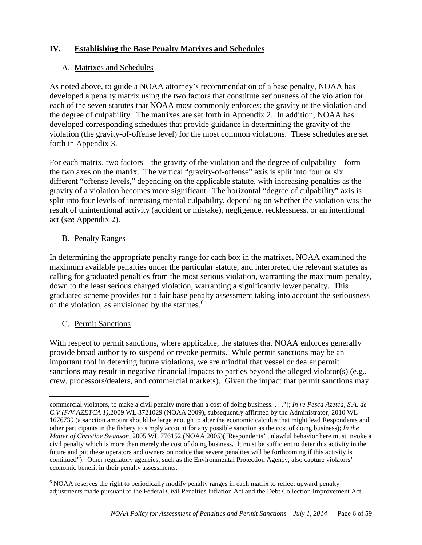## **IV. Establishing the Base Penalty Matrixes and Schedules**

## A. Matrixes and Schedules

As noted above, to guide a NOAA attorney's recommendation of a base penalty, NOAA has developed a penalty matrix using the two factors that constitute seriousness of the violation for each of the seven statutes that NOAA most commonly enforces: the gravity of the violation and the degree of culpability. The matrixes are set forth in Appendix 2. In addition, NOAA has developed corresponding schedules that provide guidance in determining the gravity of the violation (the gravity-of-offense level) for the most common violations. These schedules are set forth in Appendix 3.

For each matrix, two factors – the gravity of the violation and the degree of culpability – form the two axes on the matrix. The vertical "gravity-of-offense" axis is split into four or six different "offense levels," depending on the applicable statute, with increasing penalties as the gravity of a violation becomes more significant. The horizontal "degree of culpability" axis is split into four levels of increasing mental culpability, depending on whether the violation was the result of unintentional activity (accident or mistake), negligence, recklessness, or an intentional act (*see* Appendix 2).

#### B. Penalty Ranges

In determining the appropriate penalty range for each box in the matrixes, NOAA examined the maximum available penalties under the particular statute, and interpreted the relevant statutes as calling for graduated penalties from the most serious violation, warranting the maximum penalty, down to the least serious charged violation, warranting a significantly lower penalty. This graduated scheme provides for a fair base penalty assessment taking into account the seriousness of the violation, as envisioned by the statutes. [6](#page-5-0)

#### C. Permit Sanctions

With respect to permit sanctions, where applicable, the statutes that NOAA enforces generally provide broad authority to suspend or revoke permits. While permit sanctions may be an important tool in deterring future violations, we are mindful that vessel or dealer permit sanctions may result in negative financial impacts to parties beyond the alleged violator(s) (e.g., crew, processors/dealers, and commercial markets). Given the impact that permit sanctions may

commercial violators, to make a civil penalty more than a cost of doing business. . . ."); *In re Pesca Azetca, S.A. de C.V (F/V AZETCA 1),*2009 WL 3721029 (NOAA 2009), subsequently affirmed by the Administrator, 2010 WL 1676739 (a sanction amount should be large enough to alter the economic calculus that might lead Respondents and other participants in the fishery to simply account for any possible sanction as the cost of doing business); *In the Matter of Christine Swanson*, 2005 WL 776152 (NOAA 2005)("Respondents' unlawful behavior here must invoke a civil penalty which is more than merely the cost of doing business. It must be sufficient to deter this activity in the future and put these operators and owners on notice that severe penalties will be forthcoming if this activity is continued"). Other regulatory agencies, such as the Environmental Protection Agency, also capture violators' economic benefit in their penalty assessments.  $\overline{a}$ 

<span id="page-5-0"></span><sup>6</sup> NOAA reserves the right to periodically modify penalty ranges in each matrix to reflect upward penalty adjustments made pursuant to the Federal Civil Penalties Inflation Act and the Debt Collection Improvement Act.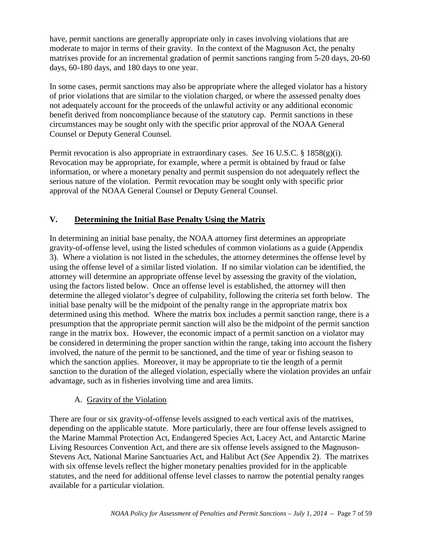have, permit sanctions are generally appropriate only in cases involving violations that are moderate to major in terms of their gravity. In the context of the Magnuson Act, the penalty matrixes provide for an incremental gradation of permit sanctions ranging from 5-20 days, 20-60 days, 60-180 days, and 180 days to one year.

In some cases, permit sanctions may also be appropriate where the alleged violator has a history of prior violations that are similar to the violation charged, or where the assessed penalty does not adequately account for the proceeds of the unlawful activity or any additional economic benefit derived from noncompliance because of the statutory cap. Permit sanctions in these circumstances may be sought only with the specific prior approval of the NOAA General Counsel or Deputy General Counsel.

Permit revocation is also appropriate in extraordinary cases. *See* 16 U.S.C. § 1858(g)(i). Revocation may be appropriate, for example, where a permit is obtained by fraud or false information, or where a monetary penalty and permit suspension do not adequately reflect the serious nature of the violation. Permit revocation may be sought only with specific prior approval of the NOAA General Counsel or Deputy General Counsel.

## **V. Determining the Initial Base Penalty Using the Matrix**

In determining an initial base penalty, the NOAA attorney first determines an appropriate gravity-of-offense level, using the listed schedules of common violations as a guide (Appendix 3). Where a violation is not listed in the schedules, the attorney determines the offense level by using the offense level of a similar listed violation. If no similar violation can be identified, the attorney will determine an appropriate offense level by assessing the gravity of the violation, using the factors listed below. Once an offense level is established, the attorney will then determine the alleged violator's degree of culpability, following the criteria set forth below. The initial base penalty will be the midpoint of the penalty range in the appropriate matrix box determined using this method. Where the matrix box includes a permit sanction range, there is a presumption that the appropriate permit sanction will also be the midpoint of the permit sanction range in the matrix box. However, the economic impact of a permit sanction on a violator may be considered in determining the proper sanction within the range, taking into account the fishery involved, the nature of the permit to be sanctioned, and the time of year or fishing season to which the sanction applies. Moreover, it may be appropriate to tie the length of a permit sanction to the duration of the alleged violation, especially where the violation provides an unfair advantage, such as in fisheries involving time and area limits.

## A. Gravity of the Violation

There are four or six gravity-of-offense levels assigned to each vertical axis of the matrixes, depending on the applicable statute. More particularly, there are four offense levels assigned to the Marine Mammal Protection Act, Endangered Species Act, Lacey Act, and Antarctic Marine Living Resources Convention Act, and there are six offense levels assigned to the Magnuson-Stevens Act, National Marine Sanctuaries Act, and Halibut Act (*See* Appendix 2). The matrixes with six offense levels reflect the higher monetary penalties provided for in the applicable statutes, and the need for additional offense level classes to narrow the potential penalty ranges available for a particular violation.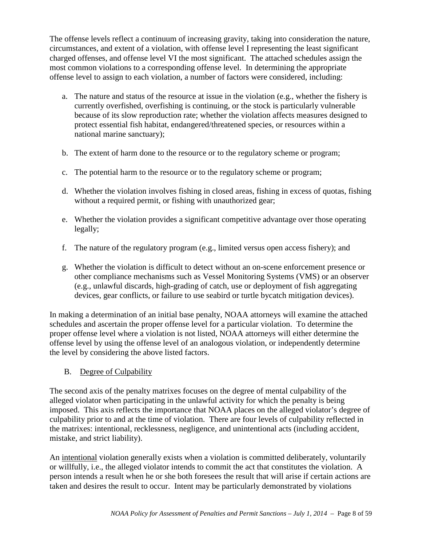The offense levels reflect a continuum of increasing gravity, taking into consideration the nature, circumstances, and extent of a violation, with offense level I representing the least significant charged offenses, and offense level VI the most significant. The attached schedules assign the most common violations to a corresponding offense level. In determining the appropriate offense level to assign to each violation, a number of factors were considered, including:

- a. The nature and status of the resource at issue in the violation (e.g., whether the fishery is currently overfished, overfishing is continuing, or the stock is particularly vulnerable because of its slow reproduction rate; whether the violation affects measures designed to protect essential fish habitat, endangered/threatened species, or resources within a national marine sanctuary);
- b. The extent of harm done to the resource or to the regulatory scheme or program;
- c. The potential harm to the resource or to the regulatory scheme or program;
- d. Whether the violation involves fishing in closed areas, fishing in excess of quotas, fishing without a required permit, or fishing with unauthorized gear;
- e. Whether the violation provides a significant competitive advantage over those operating legally;
- f. The nature of the regulatory program (e.g., limited versus open access fishery); and
- g. Whether the violation is difficult to detect without an on-scene enforcement presence or other compliance mechanisms such as Vessel Monitoring Systems (VMS) or an observer (e.g., unlawful discards, high-grading of catch, use or deployment of fish aggregating devices, gear conflicts, or failure to use seabird or turtle bycatch mitigation devices).

In making a determination of an initial base penalty, NOAA attorneys will examine the attached schedules and ascertain the proper offense level for a particular violation. To determine the proper offense level where a violation is not listed, NOAA attorneys will either determine the offense level by using the offense level of an analogous violation, or independently determine the level by considering the above listed factors.

B. Degree of Culpability

The second axis of the penalty matrixes focuses on the degree of mental culpability of the alleged violator when participating in the unlawful activity for which the penalty is being imposed. This axis reflects the importance that NOAA places on the alleged violator's degree of culpability prior to and at the time of violation. There are four levels of culpability reflected in the matrixes: intentional, recklessness, negligence, and unintentional acts (including accident, mistake, and strict liability).

An intentional violation generally exists when a violation is committed deliberately, voluntarily or willfully, i.e., the alleged violator intends to commit the act that constitutes the violation. A person intends a result when he or she both foresees the result that will arise if certain actions are taken and desires the result to occur. Intent may be particularly demonstrated by violations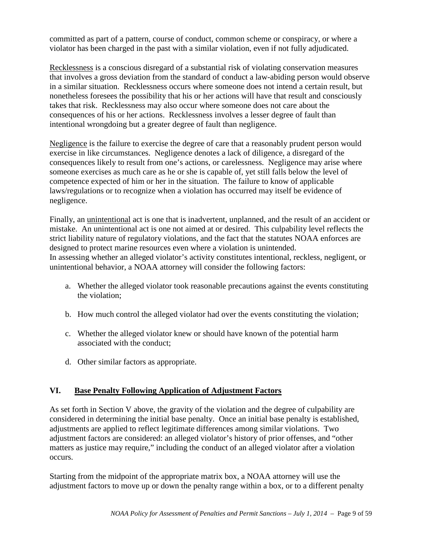committed as part of a pattern, course of conduct, common scheme or conspiracy, or where a violator has been charged in the past with a similar violation, even if not fully adjudicated.

Recklessness is a conscious disregard of a substantial risk of violating conservation measures that involves a gross deviation from the standard of conduct a law-abiding person would observe in a similar situation. Recklessness occurs where someone does not intend a certain result, but nonetheless foresees the possibility that his or her actions will have that result and consciously takes that risk. Recklessness may also occur where someone does not care about the consequences of his or her actions. Recklessness involves a lesser degree of fault than intentional wrongdoing but a greater degree of fault than negligence.

Negligence is the failure to exercise the degree of care that a reasonably prudent person would exercise in like circumstances. Negligence denotes a lack of diligence, a disregard of the consequences likely to result from one's actions, or carelessness. Negligence may arise where someone exercises as much care as he or she is capable of, yet still falls below the level of competence expected of him or her in the situation. The failure to know of applicable laws/regulations or to recognize when a violation has occurred may itself be evidence of negligence.

Finally, an unintentional act is one that is inadvertent, unplanned, and the result of an accident or mistake. An unintentional act is one not aimed at or desired. This culpability level reflects the strict liability nature of regulatory violations, and the fact that the statutes NOAA enforces are designed to protect marine resources even where a violation is unintended. In assessing whether an alleged violator's activity constitutes intentional, reckless, negligent, or unintentional behavior, a NOAA attorney will consider the following factors:

- a. Whether the alleged violator took reasonable precautions against the events constituting the violation;
- b. How much control the alleged violator had over the events constituting the violation;
- c. Whether the alleged violator knew or should have known of the potential harm associated with the conduct;
- d. Other similar factors as appropriate.

## **VI. Base Penalty Following Application of Adjustment Factors**

As set forth in Section V above, the gravity of the violation and the degree of culpability are considered in determining the initial base penalty. Once an initial base penalty is established, adjustments are applied to reflect legitimate differences among similar violations. Two adjustment factors are considered: an alleged violator's history of prior offenses, and "other matters as justice may require," including the conduct of an alleged violator after a violation occurs.

Starting from the midpoint of the appropriate matrix box, a NOAA attorney will use the adjustment factors to move up or down the penalty range within a box, or to a different penalty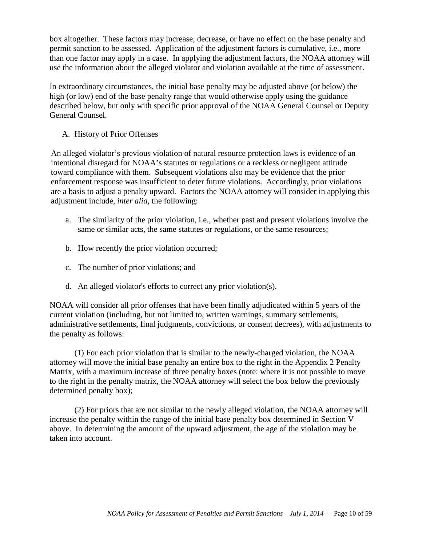box altogether. These factors may increase, decrease, or have no effect on the base penalty and permit sanction to be assessed. Application of the adjustment factors is cumulative, i.e., more than one factor may apply in a case. In applying the adjustment factors, the NOAA attorney will use the information about the alleged violator and violation available at the time of assessment.

In extraordinary circumstances, the initial base penalty may be adjusted above (or below) the high (or low) end of the base penalty range that would otherwise apply using the guidance described below, but only with specific prior approval of the NOAA General Counsel or Deputy General Counsel.

### A. History of Prior Offenses

An alleged violator's previous violation of natural resource protection laws is evidence of an intentional disregard for NOAA's statutes or regulations or a reckless or negligent attitude toward compliance with them. Subsequent violations also may be evidence that the prior enforcement response was insufficient to deter future violations. Accordingly, prior violations are a basis to adjust a penalty upward. Factors the NOAA attorney will consider in applying this adjustment include, *inter alia*, the following:

- a. The similarity of the prior violation, i.e., whether past and present violations involve the same or similar acts, the same statutes or regulations, or the same resources;
- b. How recently the prior violation occurred;
- c. The number of prior violations; and
- d. An alleged violator's efforts to correct any prior violation(s).

NOAA will consider all prior offenses that have been finally adjudicated within 5 years of the current violation (including, but not limited to, written warnings, summary settlements, administrative settlements, final judgments, convictions, or consent decrees), with adjustments to the penalty as follows:

(1) For each prior violation that is similar to the newly-charged violation, the NOAA attorney will move the initial base penalty an entire box to the right in the Appendix 2 Penalty Matrix, with a maximum increase of three penalty boxes (note: where it is not possible to move to the right in the penalty matrix, the NOAA attorney will select the box below the previously determined penalty box);

(2) For priors that are not similar to the newly alleged violation, the NOAA attorney will increase the penalty within the range of the initial base penalty box determined in Section V above. In determining the amount of the upward adjustment, the age of the violation may be taken into account.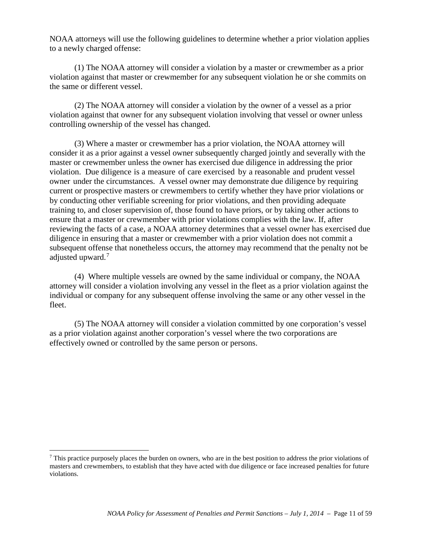NOAA attorneys will use the following guidelines to determine whether a prior violation applies to a newly charged offense:

(1) The NOAA attorney will consider a violation by a master or crewmember as a prior violation against that master or crewmember for any subsequent violation he or she commits on the same or different vessel.

(2) The NOAA attorney will consider a violation by the owner of a vessel as a prior violation against that owner for any subsequent violation involving that vessel or owner unless controlling ownership of the vessel has changed.

(3) Where a master or crewmember has a prior violation, the NOAA attorney will consider it as a prior against a vessel owner subsequently charged jointly and severally with the master or crewmember unless the owner has exercised due diligence in addressing the prior violation. Due diligence is a measure of care exercised by a reasonable and prudent vessel owner under the circumstances. A vessel owner may demonstrate due diligence by requiring current or prospective masters or crewmembers to certify whether they have prior violations or by conducting other verifiable screening for prior violations, and then providing adequate training to, and closer supervision of, those found to have priors, or by taking other actions to ensure that a master or crewmember with prior violations complies with the law. If, after reviewing the facts of a case, a NOAA attorney determines that a vessel owner has exercised due diligence in ensuring that a master or crewmember with a prior violation does not commit a subsequent offense that nonetheless occurs, the attorney may recommend that the penalty not be adjusted upward.<sup>[7](#page-10-0)</sup>

(4) Where multiple vessels are owned by the same individual or company, the NOAA attorney will consider a violation involving any vessel in the fleet as a prior violation against the individual or company for any subsequent offense involving the same or any other vessel in the fleet.

(5) The NOAA attorney will consider a violation committed by one corporation's vessel as a prior violation against another corporation's vessel where the two corporations are effectively owned or controlled by the same person or persons.

 $\overline{a}$ 

<span id="page-10-0"></span> $^7$  This practice purposely places the burden on owners, who are in the best position to address the prior violations of masters and crewmembers, to establish that they have acted with due diligence or face increased penalties for future violations.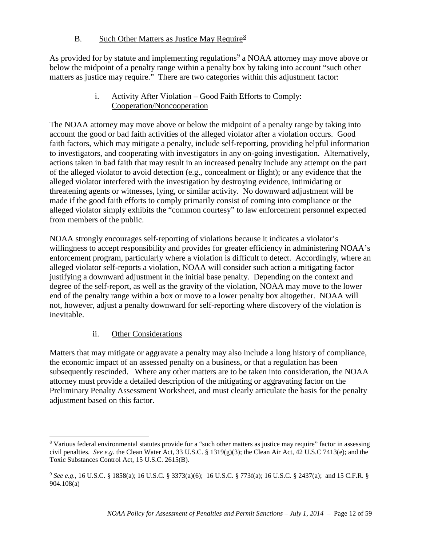## B. Such Other Matters as Justice May Require<sup>[8](#page-11-0)</sup>

As provided for by statute and implementing regulations<sup>[9](#page-11-1)</sup> a NOAA attorney may move above or below the midpoint of a penalty range within a penalty box by taking into account "such other matters as justice may require." There are two categories within this adjustment factor:

### i. Activity After Violation – Good Faith Efforts to Comply: Cooperation/Noncooperation

The NOAA attorney may move above or below the midpoint of a penalty range by taking into account the good or bad faith activities of the alleged violator after a violation occurs. Good faith factors, which may mitigate a penalty, include self-reporting, providing helpful information to investigators, and cooperating with investigators in any on-going investigation. Alternatively, actions taken in bad faith that may result in an increased penalty include any attempt on the part of the alleged violator to avoid detection (e.g., concealment or flight); or any evidence that the alleged violator interfered with the investigation by destroying evidence, intimidating or threatening agents or witnesses, lying, or similar activity. No downward adjustment will be made if the good faith efforts to comply primarily consist of coming into compliance or the alleged violator simply exhibits the "common courtesy" to law enforcement personnel expected from members of the public.

NOAA strongly encourages self-reporting of violations because it indicates a violator's willingness to accept responsibility and provides for greater efficiency in administering NOAA's enforcement program, particularly where a violation is difficult to detect. Accordingly, where an alleged violator self-reports a violation, NOAA will consider such action a mitigating factor justifying a downward adjustment in the initial base penalty. Depending on the context and degree of the self-report, as well as the gravity of the violation, NOAA may move to the lower end of the penalty range within a box or move to a lower penalty box altogether. NOAA will not, however, adjust a penalty downward for self-reporting where discovery of the violation is inevitable.

## ii. Other Considerations

 $\overline{a}$ 

Matters that may mitigate or aggravate a penalty may also include a long history of compliance, the economic impact of an assessed penalty on a business, or that a regulation has been subsequently rescinded. Where any other matters are to be taken into consideration, the NOAA attorney must provide a detailed description of the mitigating or aggravating factor on the Preliminary Penalty Assessment Worksheet, and must clearly articulate the basis for the penalty adjustment based on this factor.

<span id="page-11-0"></span><sup>8</sup> Various federal environmental statutes provide for a "such other matters as justice may require" factor in assessing civil penalties. *See e.g.* the Clean Water Act, 33 U.S.C. § 1319(g)(3); the Clean Air Act, 42 U.S.C 7413(e); and the Toxic Substances Control Act, 15 U.S.C. 2615(B).

<span id="page-11-1"></span><sup>9</sup> *See e.g.,* 16 U.S.C. § 1858(a); 16 U.S.C. § 3373(a)(6); 16 U.S.C. § 773f(a); 16 U.S.C. § 2437(a); and 15 C.F.R. § 904.108(a)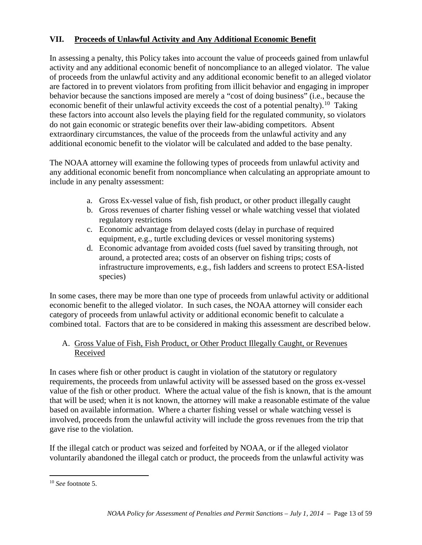## **VII. Proceeds of Unlawful Activity and Any Additional Economic Benefit**

In assessing a penalty, this Policy takes into account the value of proceeds gained from unlawful activity and any additional economic benefit of noncompliance to an alleged violator. The value of proceeds from the unlawful activity and any additional economic benefit to an alleged violator are factored in to prevent violators from profiting from illicit behavior and engaging in improper behavior because the sanctions imposed are merely a "cost of doing business" (i.e., because the economic benefit of their unlawful activity exceeds the cost of a potential penalty).<sup>10</sup> Taking these factors into account also levels the playing field for the regulated community, so violators do not gain economic or strategic benefits over their law-abiding competitors. Absent extraordinary circumstances, the value of the proceeds from the unlawful activity and any additional economic benefit to the violator will be calculated and added to the base penalty.

The NOAA attorney will examine the following types of proceeds from unlawful activity and any additional economic benefit from noncompliance when calculating an appropriate amount to include in any penalty assessment:

- a. Gross Ex-vessel value of fish, fish product, or other product illegally caught
- b. Gross revenues of charter fishing vessel or whale watching vessel that violated regulatory restrictions
- c. Economic advantage from delayed costs (delay in purchase of required equipment, e.g., turtle excluding devices or vessel monitoring systems)
- d. Economic advantage from avoided costs (fuel saved by transiting through, not around, a protected area; costs of an observer on fishing trips; costs of infrastructure improvements, e.g., fish ladders and screens to protect ESA-listed species)

In some cases, there may be more than one type of proceeds from unlawful activity or additional economic benefit to the alleged violator. In such cases, the NOAA attorney will consider each category of proceeds from unlawful activity or additional economic benefit to calculate a combined total. Factors that are to be considered in making this assessment are described below.

#### A. Gross Value of Fish, Fish Product, or Other Product Illegally Caught, or Revenues Received

In cases where fish or other product is caught in violation of the statutory or regulatory requirements, the proceeds from unlawful activity will be assessed based on the gross ex-vessel value of the fish or other product. Where the actual value of the fish is known, that is the amount that will be used; when it is not known, the attorney will make a reasonable estimate of the value based on available information. Where a charter fishing vessel or whale watching vessel is involved, proceeds from the unlawful activity will include the gross revenues from the trip that gave rise to the violation.

If the illegal catch or product was seized and forfeited by NOAA, or if the alleged violator voluntarily abandoned the illegal catch or product, the proceeds from the unlawful activity was

<span id="page-12-0"></span><sup>10</sup> *See* footnote 5.  $\overline{a}$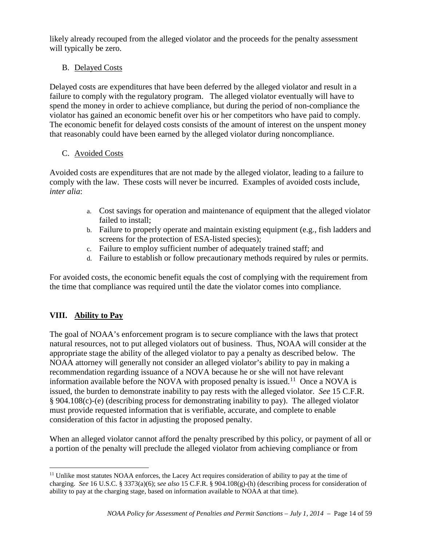likely already recouped from the alleged violator and the proceeds for the penalty assessment will typically be zero.

## B. Delayed Costs

Delayed costs are expenditures that have been deferred by the alleged violator and result in a failure to comply with the regulatory program. The alleged violator eventually will have to spend the money in order to achieve compliance, but during the period of non-compliance the violator has gained an economic benefit over his or her competitors who have paid to comply. The economic benefit for delayed costs consists of the amount of interest on the unspent money that reasonably could have been earned by the alleged violator during noncompliance.

## C. Avoided Costs

Avoided costs are expenditures that are not made by the alleged violator, leading to a failure to comply with the law. These costs will never be incurred. Examples of avoided costs include, *inter alia*:

- a. Cost savings for operation and maintenance of equipment that the alleged violator failed to install;
- b. Failure to properly operate and maintain existing equipment (e.g., fish ladders and screens for the protection of ESA-listed species);
- c. Failure to employ sufficient number of adequately trained staff; and
- d. Failure to establish or follow precautionary methods required by rules or permits.

For avoided costs, the economic benefit equals the cost of complying with the requirement from the time that compliance was required until the date the violator comes into compliance.

## **VIII. Ability to Pay**

The goal of NOAA's enforcement program is to secure compliance with the laws that protect natural resources, not to put alleged violators out of business. Thus, NOAA will consider at the appropriate stage the ability of the alleged violator to pay a penalty as described below. The NOAA attorney will generally not consider an alleged violator's ability to pay in making a recommendation regarding issuance of a NOVA because he or she will not have relevant information available before the NOVA with proposed penalty is issued.<sup>[11](#page-13-0)</sup> Once a NOVA is issued, the burden to demonstrate inability to pay rests with the alleged violator. *See* 15 C.F.R. § 904.108(c)-(e) (describing process for demonstrating inability to pay). The alleged violator must provide requested information that is verifiable, accurate, and complete to enable consideration of this factor in adjusting the proposed penalty.

When an alleged violator cannot afford the penalty prescribed by this policy, or payment of all or a portion of the penalty will preclude the alleged violator from achieving compliance or from

<span id="page-13-0"></span><sup>&</sup>lt;sup>11</sup> Unlike most statutes NOAA enforces, the Lacey Act requires consideration of ability to pay at the time of charging. *See* 16 U.S.C. § 3373(a)(6); s*ee also* 15 C.F.R. § 904.108(g)-(h) (describing process for consideration of ability to pay at the charging stage, based on information available to NOAA at that time).  $\overline{a}$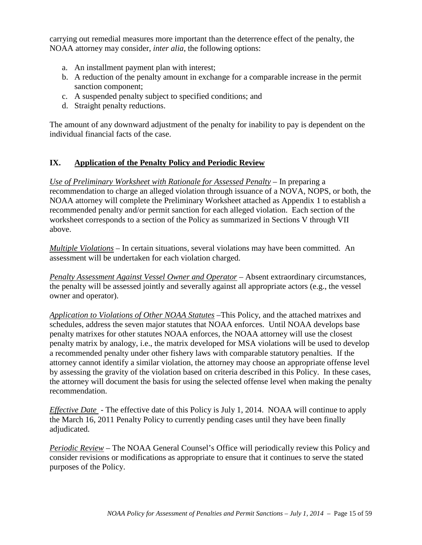carrying out remedial measures more important than the deterrence effect of the penalty, the NOAA attorney may consider, *inter alia*, the following options:

- a. An installment payment plan with interest;
- b. A reduction of the penalty amount in exchange for a comparable increase in the permit sanction component;
- c. A suspended penalty subject to specified conditions; and
- d. Straight penalty reductions.

The amount of any downward adjustment of the penalty for inability to pay is dependent on the individual financial facts of the case.

#### **IX. Application of the Penalty Policy and Periodic Review**

*Use of Preliminary Worksheet with Rationale for Assessed Penalty* – In preparing a recommendation to charge an alleged violation through issuance of a NOVA, NOPS, or both, the NOAA attorney will complete the Preliminary Worksheet attached as Appendix 1 to establish a recommended penalty and/or permit sanction for each alleged violation. Each section of the worksheet corresponds to a section of the Policy as summarized in Sections V through VII above.

*Multiple Violations* – In certain situations, several violations may have been committed. An assessment will be undertaken for each violation charged.

*Penalty Assessment Against Vessel Owner and Operator* – Absent extraordinary circumstances, the penalty will be assessed jointly and severally against all appropriate actors (e.g., the vessel owner and operator).

*Application to Violations of Other NOAA Statutes* –This Policy, and the attached matrixes and schedules, address the seven major statutes that NOAA enforces. Until NOAA develops base penalty matrixes for other statutes NOAA enforces, the NOAA attorney will use the closest penalty matrix by analogy, i.e., the matrix developed for MSA violations will be used to develop a recommended penalty under other fishery laws with comparable statutory penalties. If the attorney cannot identify a similar violation, the attorney may choose an appropriate offense level by assessing the gravity of the violation based on criteria described in this Policy. In these cases, the attorney will document the basis for using the selected offense level when making the penalty recommendation.

*Effective Date* - The effective date of this Policy is July 1, 2014. NOAA will continue to apply the March 16, 2011 Penalty Policy to currently pending cases until they have been finally adjudicated.

*Periodic Review* – The NOAA General Counsel's Office will periodically review this Policy and consider revisions or modifications as appropriate to ensure that it continues to serve the stated purposes of the Policy.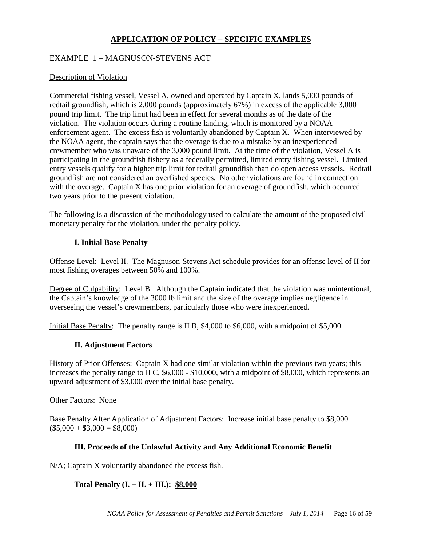## **APPLICATION OF POLICY – SPECIFIC EXAMPLES**

#### EXAMPLE 1 – MAGNUSON-STEVENS ACT

#### Description of Violation

Commercial fishing vessel, Vessel A, owned and operated by Captain X, lands 5,000 pounds of redtail groundfish, which is 2,000 pounds (approximately 67%) in excess of the applicable 3,000 pound trip limit. The trip limit had been in effect for several months as of the date of the violation. The violation occurs during a routine landing, which is monitored by a NOAA enforcement agent. The excess fish is voluntarily abandoned by Captain X. When interviewed by the NOAA agent, the captain says that the overage is due to a mistake by an inexperienced crewmember who was unaware of the 3,000 pound limit. At the time of the violation, Vessel A is participating in the groundfish fishery as a federally permitted, limited entry fishing vessel. Limited entry vessels qualify for a higher trip limit for redtail groundfish than do open access vessels. Redtail groundfish are not considered an overfished species. No other violations are found in connection with the overage. Captain X has one prior violation for an overage of groundfish, which occurred two years prior to the present violation.

The following is a discussion of the methodology used to calculate the amount of the proposed civil monetary penalty for the violation, under the penalty policy.

#### **I. Initial Base Penalty**

Offense Level: Level II. The Magnuson-Stevens Act schedule provides for an offense level of II for most fishing overages between 50% and 100%.

Degree of Culpability: Level B. Although the Captain indicated that the violation was unintentional, the Captain's knowledge of the 3000 lb limit and the size of the overage implies negligence in overseeing the vessel's crewmembers, particularly those who were inexperienced.

Initial Base Penalty: The penalty range is II B, \$4,000 to \$6,000, with a midpoint of \$5,000.

#### **II. Adjustment Factors**

History of Prior Offenses: Captain X had one similar violation within the previous two years; this increases the penalty range to II C, \$6,000 - \$10,000, with a midpoint of \$8,000, which represents an upward adjustment of \$3,000 over the initial base penalty.

Other Factors: None

Base Penalty After Application of Adjustment Factors: Increase initial base penalty to \$8,000  $($5,000 + $3,000 = $8,000)$ 

#### **III. Proceeds of the Unlawful Activity and Any Additional Economic Benefit**

N/A; Captain X voluntarily abandoned the excess fish.

#### **Total Penalty (I. + II. + III.): \$8,000**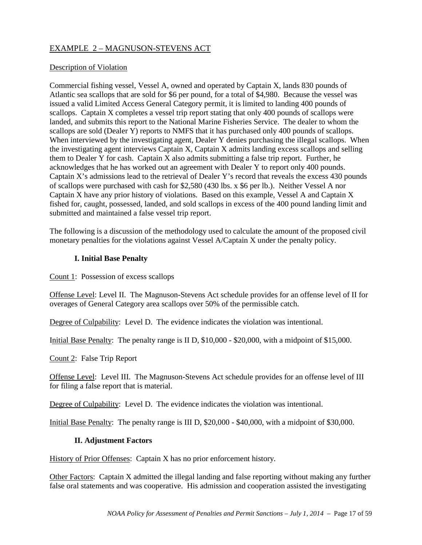## EXAMPLE 2 – MAGNUSON-STEVENS ACT

#### Description of Violation

Commercial fishing vessel, Vessel A, owned and operated by Captain X, lands 830 pounds of Atlantic sea scallops that are sold for \$6 per pound, for a total of \$4,980. Because the vessel was issued a valid Limited Access General Category permit, it is limited to landing 400 pounds of scallops. Captain X completes a vessel trip report stating that only 400 pounds of scallops were landed, and submits this report to the National Marine Fisheries Service. The dealer to whom the scallops are sold (Dealer Y) reports to NMFS that it has purchased only 400 pounds of scallops. When interviewed by the investigating agent, Dealer Y denies purchasing the illegal scallops. When the investigating agent interviews Captain X, Captain X admits landing excess scallops and selling them to Dealer Y for cash. Captain X also admits submitting a false trip report. Further, he acknowledges that he has worked out an agreement with Dealer Y to report only 400 pounds. Captain X's admissions lead to the retrieval of Dealer Y's record that reveals the excess 430 pounds of scallops were purchased with cash for \$2,580 (430 lbs. x \$6 per lb.). Neither Vessel A nor Captain X have any prior history of violations. Based on this example, Vessel A and Captain X fished for, caught, possessed, landed, and sold scallops in excess of the 400 pound landing limit and submitted and maintained a false vessel trip report.

The following is a discussion of the methodology used to calculate the amount of the proposed civil monetary penalties for the violations against Vessel A/Captain X under the penalty policy.

#### **I. Initial Base Penalty**

Count 1: Possession of excess scallops

Offense Level: Level II. The Magnuson-Stevens Act schedule provides for an offense level of II for overages of General Category area scallops over 50% of the permissible catch.

Degree of Culpability: Level D. The evidence indicates the violation was intentional.

Initial Base Penalty: The penalty range is II D, \$10,000 - \$20,000, with a midpoint of \$15,000.

Count 2: False Trip Report

Offense Level: Level III. The Magnuson-Stevens Act schedule provides for an offense level of III for filing a false report that is material.

Degree of Culpability: Level D. The evidence indicates the violation was intentional.

Initial Base Penalty: The penalty range is III D, \$20,000 - \$40,000, with a midpoint of \$30,000.

#### **II. Adjustment Factors**

History of Prior Offenses: Captain X has no prior enforcement history.

Other Factors: Captain X admitted the illegal landing and false reporting without making any further false oral statements and was cooperative. His admission and cooperation assisted the investigating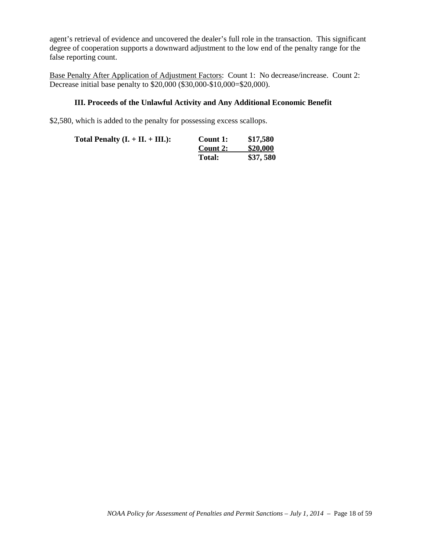agent's retrieval of evidence and uncovered the dealer's full role in the transaction. This significant degree of cooperation supports a downward adjustment to the low end of the penalty range for the false reporting count.

Base Penalty After Application of Adjustment Factors: Count 1: No decrease/increase. Count 2: Decrease initial base penalty to \$20,000 (\$30,000-\$10,000=\$20,000).

#### **III. Proceeds of the Unlawful Activity and Any Additional Economic Benefit**

\$2,580, which is added to the penalty for possessing excess scallops.

| Total Penalty $(I. + II. + III.):$ | Count 1:      | \$17,580 |
|------------------------------------|---------------|----------|
|                                    | Count 2:      | \$20,000 |
|                                    | <b>Total:</b> | \$37,580 |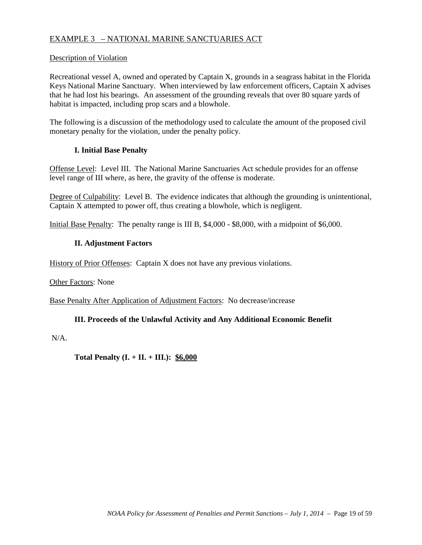## EXAMPLE 3 – NATIONAL MARINE SANCTUARIES ACT

#### Description of Violation

Recreational vessel A, owned and operated by Captain X, grounds in a seagrass habitat in the Florida Keys National Marine Sanctuary. When interviewed by law enforcement officers, Captain X advises that he had lost his bearings. An assessment of the grounding reveals that over 80 square yards of habitat is impacted, including prop scars and a blowhole.

The following is a discussion of the methodology used to calculate the amount of the proposed civil monetary penalty for the violation, under the penalty policy.

#### **I. Initial Base Penalty**

Offense Level: Level III. The National Marine Sanctuaries Act schedule provides for an offense level range of III where, as here, the gravity of the offense is moderate.

Degree of Culpability: Level B. The evidence indicates that although the grounding is unintentional, Captain X attempted to power off, thus creating a blowhole, which is negligent.

Initial Base Penalty: The penalty range is III B, \$4,000 - \$8,000, with a midpoint of \$6,000.

#### **II. Adjustment Factors**

History of Prior Offenses: Captain X does not have any previous violations.

Other Factors: None

Base Penalty After Application of Adjustment Factors: No decrease/increase

#### **III. Proceeds of the Unlawful Activity and Any Additional Economic Benefit**

N/A.

**Total Penalty (I. + II. + III.): \$6,000**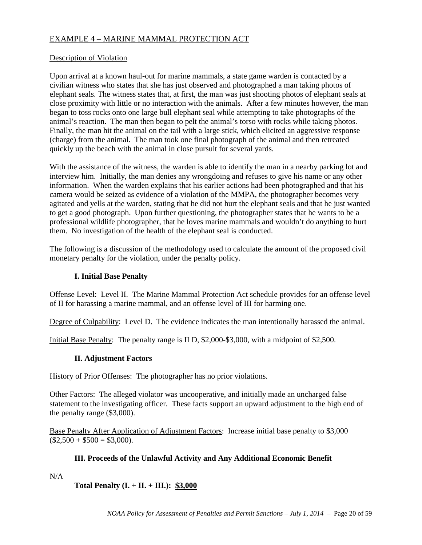## EXAMPLE 4 – MARINE MAMMAL PROTECTION ACT

#### Description of Violation

Upon arrival at a known haul-out for marine mammals, a state game warden is contacted by a civilian witness who states that she has just observed and photographed a man taking photos of elephant seals. The witness states that, at first, the man was just shooting photos of elephant seals at close proximity with little or no interaction with the animals. After a few minutes however, the man began to toss rocks onto one large bull elephant seal while attempting to take photographs of the animal's reaction. The man then began to pelt the animal's torso with rocks while taking photos. Finally, the man hit the animal on the tail with a large stick, which elicited an aggressive response (charge) from the animal. The man took one final photograph of the animal and then retreated quickly up the beach with the animal in close pursuit for several yards.

With the assistance of the witness, the warden is able to identify the man in a nearby parking lot and interview him. Initially, the man denies any wrongdoing and refuses to give his name or any other information. When the warden explains that his earlier actions had been photographed and that his camera would be seized as evidence of a violation of the MMPA, the photographer becomes very agitated and yells at the warden, stating that he did not hurt the elephant seals and that he just wanted to get a good photograph. Upon further questioning, the photographer states that he wants to be a professional wildlife photographer, that he loves marine mammals and wouldn't do anything to hurt them. No investigation of the health of the elephant seal is conducted.

The following is a discussion of the methodology used to calculate the amount of the proposed civil monetary penalty for the violation, under the penalty policy.

### **I. Initial Base Penalty**

Offense Level: Level II. The Marine Mammal Protection Act schedule provides for an offense level of II for harassing a marine mammal, and an offense level of III for harming one.

Degree of Culpability: Level D. The evidence indicates the man intentionally harassed the animal.

Initial Base Penalty: The penalty range is II D, \$2,000-\$3,000, with a midpoint of \$2,500.

## **II. Adjustment Factors**

History of Prior Offenses: The photographer has no prior violations.

Other Factors: The alleged violator was uncooperative, and initially made an uncharged false statement to the investigating officer. These facts support an upward adjustment to the high end of the penalty range (\$3,000).

Base Penalty After Application of Adjustment Factors: Increase initial base penalty to \$3,000  $($2,500 + $500 = $3,000).$ 

#### **III. Proceeds of the Unlawful Activity and Any Additional Economic Benefit**

 $N/A$ 

## **Total Penalty (I. + II. + III.): \$3,000**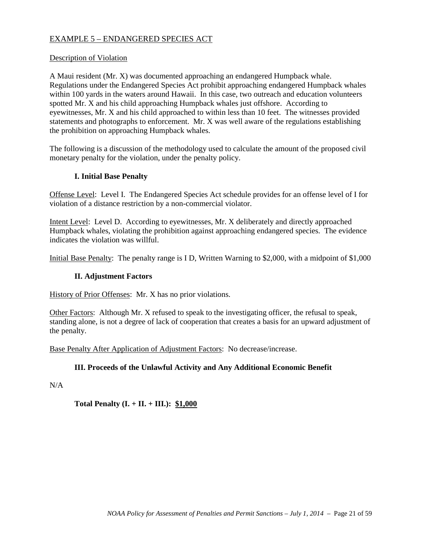### EXAMPLE 5 – ENDANGERED SPECIES ACT

#### Description of Violation

A Maui resident (Mr. X) was documented approaching an endangered Humpback whale. Regulations under the Endangered Species Act prohibit approaching endangered Humpback whales within 100 yards in the waters around Hawaii. In this case, two outreach and education volunteers spotted Mr. X and his child approaching Humpback whales just offshore. According to eyewitnesses, Mr. X and his child approached to within less than 10 feet. The witnesses provided statements and photographs to enforcement. Mr. X was well aware of the regulations establishing the prohibition on approaching Humpback whales.

The following is a discussion of the methodology used to calculate the amount of the proposed civil monetary penalty for the violation, under the penalty policy.

#### **I. Initial Base Penalty**

Offense Level: Level I. The Endangered Species Act schedule provides for an offense level of I for violation of a distance restriction by a non-commercial violator.

Intent Level: Level D. According to eyewitnesses, Mr. X deliberately and directly approached Humpback whales, violating the prohibition against approaching endangered species. The evidence indicates the violation was willful.

Initial Base Penalty: The penalty range is I D, Written Warning to \$2,000, with a midpoint of \$1,000

#### **II. Adjustment Factors**

History of Prior Offenses: Mr. X has no prior violations.

Other Factors: Although Mr. X refused to speak to the investigating officer, the refusal to speak, standing alone, is not a degree of lack of cooperation that creates a basis for an upward adjustment of the penalty.

Base Penalty After Application of Adjustment Factors: No decrease/increase.

#### **III. Proceeds of the Unlawful Activity and Any Additional Economic Benefit**

N/A

**Total Penalty (I. + II. + III.):** \$1,000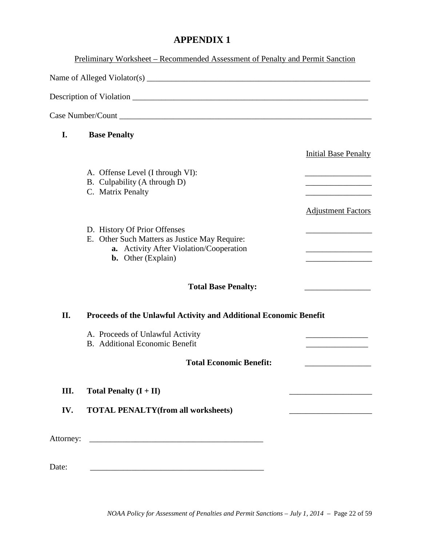## **APPENDIX 1**

|       | Preliminary Worksheet – Recommended Assessment of Penalty and Permit Sanction                                                                         |                                                              |
|-------|-------------------------------------------------------------------------------------------------------------------------------------------------------|--------------------------------------------------------------|
|       |                                                                                                                                                       |                                                              |
|       |                                                                                                                                                       |                                                              |
|       |                                                                                                                                                       |                                                              |
| I.    | <b>Base Penalty</b>                                                                                                                                   |                                                              |
|       |                                                                                                                                                       | <b>Initial Base Penalty</b>                                  |
|       | A. Offense Level (I through VI):<br>B. Culpability (A through D)<br>C. Matrix Penalty                                                                 |                                                              |
|       |                                                                                                                                                       | <b>Adjustment Factors</b>                                    |
|       | D. History Of Prior Offenses<br>E. Other Such Matters as Justice May Require:<br>a. Activity After Violation/Cooperation<br><b>b.</b> Other (Explain) | the control of the control of the control of the             |
|       | <b>Total Base Penalty:</b>                                                                                                                            |                                                              |
| II.   | Proceeds of the Unlawful Activity and Additional Economic Benefit                                                                                     |                                                              |
|       | A. Proceeds of Unlawful Activity<br><b>B.</b> Additional Economic Benefit                                                                             |                                                              |
|       | <b>Total Economic Benefit:</b>                                                                                                                        |                                                              |
| Ш.    | Total Penalty $(I + II)$                                                                                                                              | <u> 1989 - Johann Barn, mars an t-Amerikaansk ferstjer (</u> |
| IV.   | <b>TOTAL PENALTY(from all worksheets)</b>                                                                                                             |                                                              |
|       |                                                                                                                                                       |                                                              |
| Date: |                                                                                                                                                       |                                                              |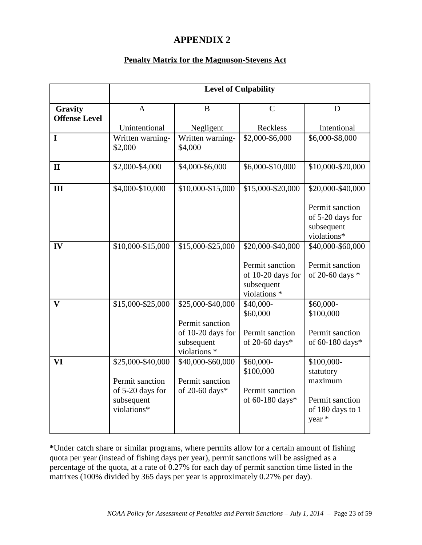## **APPENDIX 2**

## **Penalty Matrix for the Magnuson-Stevens Act**

|                                 |                                                                                       |                                                                                         | <b>Level of Culpability</b>                                                             |                                                                                     |
|---------------------------------|---------------------------------------------------------------------------------------|-----------------------------------------------------------------------------------------|-----------------------------------------------------------------------------------------|-------------------------------------------------------------------------------------|
| Gravity<br><b>Offense Level</b> | $\mathbf{A}$                                                                          | $\bf{B}$                                                                                | $\mathcal{C}$                                                                           | D                                                                                   |
|                                 | Unintentional                                                                         | Negligent                                                                               | Reckless                                                                                | Intentional                                                                         |
| $\mathbf I$                     | Written warning-<br>\$2,000                                                           | Written warning-<br>\$4,000                                                             | \$2,000-\$6,000                                                                         | \$6,000-\$8,000                                                                     |
| $\mathbf{I}$                    | \$2,000-\$4,000                                                                       | \$4,000-\$6,000                                                                         | \$6,000-\$10,000                                                                        | \$10,000-\$20,000                                                                   |
| III                             | \$4,000-\$10,000                                                                      | \$10,000-\$15,000                                                                       | \$15,000-\$20,000                                                                       | \$20,000-\$40,000<br>Permit sanction<br>of 5-20 days for<br>subsequent              |
|                                 |                                                                                       |                                                                                         |                                                                                         | violations*                                                                         |
| IV                              | \$10,000-\$15,000                                                                     | \$15,000-\$25,000                                                                       | \$20,000-\$40,000<br>Permit sanction<br>of 10-20 days for<br>subsequent<br>violations * | \$40,000-\$60,000<br>Permit sanction<br>of 20-60 days *                             |
| $\mathbf{V}$                    | \$15,000-\$25,000                                                                     | \$25,000-\$40,000<br>Permit sanction<br>of 10-20 days for<br>subsequent<br>violations * | \$40,000-<br>\$60,000<br>Permit sanction<br>of 20-60 days*                              | \$60,000-<br>\$100,000<br>Permit sanction<br>of 60-180 days*                        |
| VI                              | \$25,000-\$40,000<br>Permit sanction<br>of 5-20 days for<br>subsequent<br>violations* | \$40,000-\$60,000<br>Permit sanction<br>of 20-60 days*                                  | \$60,000-<br>\$100,000<br>Permit sanction<br>of 60-180 days*                            | \$100,000-<br>statutory<br>maximum<br>Permit sanction<br>of 180 days to 1<br>year * |

**\***Under catch share or similar programs, where permits allow for a certain amount of fishing quota per year (instead of fishing days per year), permit sanctions will be assigned as a percentage of the quota, at a rate of 0.27% for each day of permit sanction time listed in the matrixes (100% divided by 365 days per year is approximately 0.27% per day).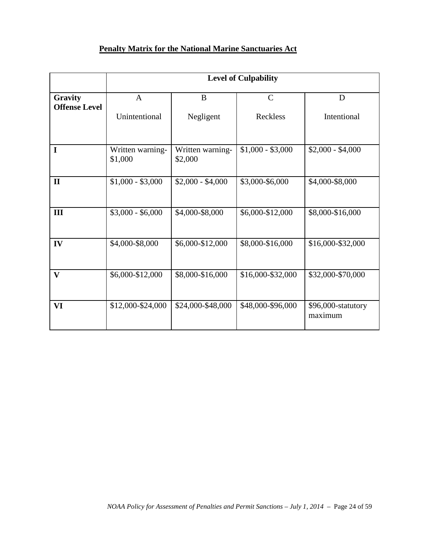## **Penalty Matrix for the National Marine Sanctuaries Act**

|                                 |                               | <b>Level of Culpability</b> |                         |                               |  |  |
|---------------------------------|-------------------------------|-----------------------------|-------------------------|-------------------------------|--|--|
| Gravity<br><b>Offense Level</b> | $\mathbf{A}$<br>Unintentional | B<br>Negligent              | $\mathbf C$<br>Reckless | D<br>Intentional              |  |  |
| I                               | Written warning-<br>\$1,000   | Written warning-<br>\$2,000 | $$1,000 - $3,000$       | $$2,000 - $4,000$             |  |  |
| $\mathbf{I}$                    | $$1,000 - $3,000$             | $$2,000 - $4,000$           | \$3,000-\$6,000         | \$4,000-\$8,000               |  |  |
| III                             | $$3,000 - $6,000$             | \$4,000-\$8,000             | \$6,000-\$12,000        | \$8,000-\$16,000              |  |  |
| IV                              | \$4,000-\$8,000               | \$6,000-\$12,000            | \$8,000-\$16,000        | \$16,000-\$32,000             |  |  |
| $\mathbf{V}$                    | \$6,000-\$12,000              | \$8,000-\$16,000            | \$16,000-\$32,000       | \$32,000-\$70,000             |  |  |
| VI                              | \$12,000-\$24,000             | \$24,000-\$48,000           | \$48,000-\$96,000       | \$96,000-statutory<br>maximum |  |  |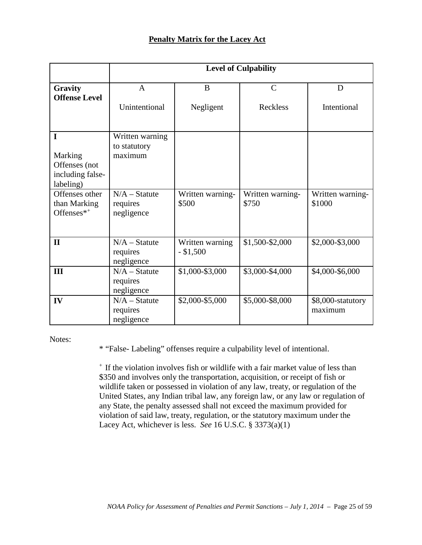### **Penalty Matrix for the Lacey Act**

|                                                                                                                               | <b>Level of Culpability</b>                                                             |                               |                                  |                              |
|-------------------------------------------------------------------------------------------------------------------------------|-----------------------------------------------------------------------------------------|-------------------------------|----------------------------------|------------------------------|
| Gravity<br><b>Offense Level</b>                                                                                               | A<br>Unintentional                                                                      | B<br>Negligent                | $\mathcal{C}$<br><b>Reckless</b> | D<br>Intentional             |
| I<br>Marking<br>Offenses (not<br>including false-<br>labeling)<br>Offenses other<br>than Marking<br>Offenses $*$ <sup>+</sup> | Written warning<br>to statutory<br>maximum<br>$N/A - Statute$<br>requires<br>negligence | Written warning-<br>\$500     | Written warning-<br>\$750        | Written warning-<br>\$1000   |
| $\mathbf{I}$                                                                                                                  | $N/A - Statute$<br>requires<br>negligence                                               | Written warning<br>$- $1,500$ | \$1,500-\$2,000                  | \$2,000-\$3,000              |
| Ш                                                                                                                             | $N/A - Statute$<br>requires<br>negligence                                               | \$1,000-\$3,000               | \$3,000-\$4,000                  | \$4,000-\$6,000              |
| IV                                                                                                                            | $N/A - Statute$<br>requires<br>negligence                                               | \$2,000-\$5,000               | \$5,000-\$8,000                  | \$8,000-statutory<br>maximum |

Notes:

\* "False- Labeling" offenses require a culpability level of intentional.

+ If the violation involves fish or wildlife with a fair market value of less than \$350 and involves only the transportation, acquisition, or receipt of fish or wildlife taken or possessed in violation of any law, treaty, or regulation of the United States, any Indian tribal law, any foreign law, or any law or regulation of any State, the penalty assessed shall not exceed the maximum provided for violation of said law, treaty, regulation, or the statutory maximum under the Lacey Act, whichever is less. *See* 16 U.S.C. § 3373(a)(1)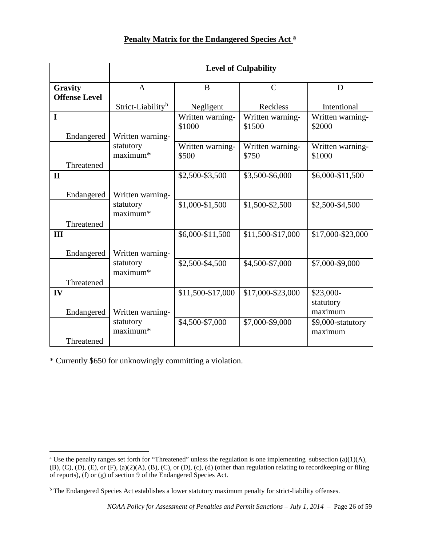## **Penalty Matrix for the Endangered Species Act [a](#page-25-0)**

|                      | <b>Level of Culpability</b>   |                   |                   |                   |
|----------------------|-------------------------------|-------------------|-------------------|-------------------|
| Gravity              | $\mathbf{A}$                  | B                 | $\mathcal{C}$     | D                 |
| <b>Offense Level</b> |                               |                   |                   |                   |
|                      | Strict-Liability <sup>b</sup> | Negligent         | Reckless          | Intentional       |
| $\mathbf I$          |                               | Written warning-  | Written warning-  | Written warning-  |
|                      |                               | \$1000            | \$1500            | \$2000            |
| Endangered           | Written warning-              |                   |                   |                   |
|                      | statutory                     | Written warning-  | Written warning-  | Written warning-  |
|                      | maximum*                      | \$500             | \$750             | \$1000            |
| Threatened           |                               |                   |                   |                   |
| $\mathbf{I}$         |                               | \$2,500-\$3,500   | \$3,500-\$6,000   | \$6,000-\$11,500  |
|                      |                               |                   |                   |                   |
| Endangered           | Written warning-              |                   |                   |                   |
|                      | statutory                     | \$1,000-\$1,500   | \$1,500-\$2,500   | \$2,500-\$4,500   |
|                      | maximum*                      |                   |                   |                   |
| Threatened           |                               |                   |                   |                   |
| III                  |                               | \$6,000-\$11,500  | \$11,500-\$17,000 | \$17,000-\$23,000 |
|                      |                               |                   |                   |                   |
| Endangered           | Written warning-              |                   |                   |                   |
|                      | statutory<br>maximum*         | \$2,500-\$4,500   | \$4,500-\$7,000   | \$7,000-\$9,000   |
|                      |                               |                   |                   |                   |
| Threatened           |                               |                   |                   |                   |
| IV                   |                               | \$11,500-\$17,000 | \$17,000-\$23,000 | \$23,000-         |
|                      |                               |                   |                   | statutory         |
| Endangered           | Written warning-              |                   |                   | maximum           |
|                      | statutory<br>maximum*         | \$4,500-\$7,000   | \$7,000-\$9,000   | \$9,000-statutory |
| Threatened           |                               |                   |                   | maximum           |
|                      |                               |                   |                   |                   |

\* Currently \$650 for unknowingly committing a violation.

 $\overline{a}$ 

<span id="page-25-0"></span><sup>&</sup>lt;sup>a</sup> Use the penalty ranges set forth for "Threatened" unless the regulation is one implementing subsection (a)(1)(A), (B), (C), (D), (E), or (F), (a)(2)(A), (B), (C), or (D), (c), (d) (other than regulation relating to recordkeeping or filing of reports), (f) or (g) of section 9 of the Endangered Species Act.

<span id="page-25-1"></span><sup>b</sup> The Endangered Species Act establishes a lower statutory maximum penalty for strict-liability offenses.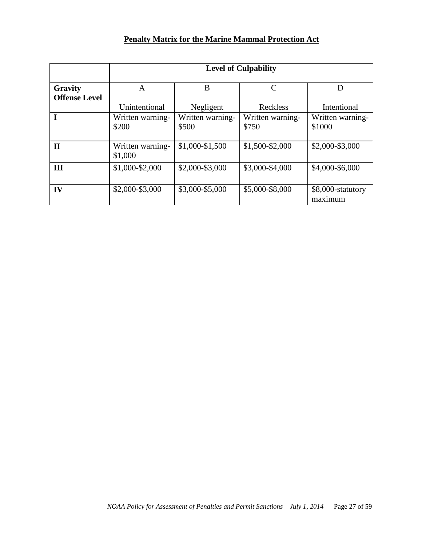## **Penalty Matrix for the Marine Mammal Protection Act**

|                      | <b>Level of Culpability</b> |                           |                           |                              |
|----------------------|-----------------------------|---------------------------|---------------------------|------------------------------|
| Gravity              | A                           | B                         | $\mathsf{C}$              | D                            |
| <b>Offense Level</b> | Unintentional               | Negligent                 | Reckless                  | Intentional                  |
|                      | Written warning-<br>\$200   | Written warning-<br>\$500 | Written warning-<br>\$750 | Written warning-<br>\$1000   |
| $\mathbf{I}$         | Written warning-<br>\$1,000 | \$1,000-\$1,500           | \$1,500-\$2,000           | \$2,000-\$3,000              |
| Ш                    | \$1,000-\$2,000             | \$2,000-\$3,000           | \$3,000-\$4,000           | \$4,000-\$6,000              |
| IV                   | \$2,000-\$3,000             | \$3,000-\$5,000           | \$5,000-\$8,000           | \$8,000-statutory<br>maximum |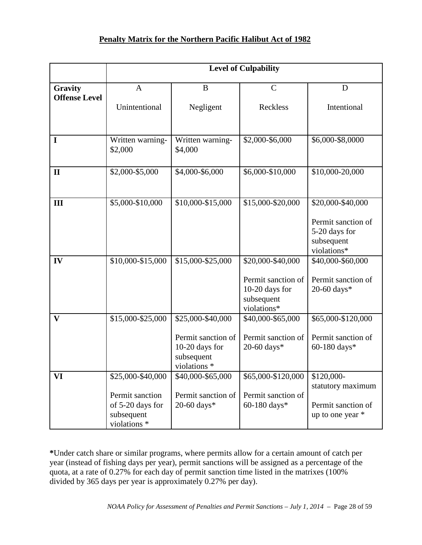## **Penalty Matrix for the Northern Pacific Halibut Act of 1982**

|                      |                                                                                        |                                                                                         | <b>Level of Culpability</b>                                                            |                                                                                       |
|----------------------|----------------------------------------------------------------------------------------|-----------------------------------------------------------------------------------------|----------------------------------------------------------------------------------------|---------------------------------------------------------------------------------------|
| Gravity              | $\mathbf{A}$                                                                           | B                                                                                       | $\mathcal{C}$                                                                          | D                                                                                     |
| <b>Offense Level</b> | Unintentional                                                                          | Negligent                                                                               | Reckless                                                                               | Intentional                                                                           |
| I                    | Written warning-<br>\$2,000                                                            | Written warning-<br>\$4,000                                                             | \$2,000-\$6,000                                                                        | \$6,000-\$8,0000                                                                      |
| $\mathbf{I}$         | \$2,000-\$5,000                                                                        | \$4,000-\$6,000                                                                         | \$6,000-\$10,000                                                                       | \$10,000-20,000                                                                       |
| III                  | \$5,000-\$10,000                                                                       | \$10,000-\$15,000                                                                       | \$15,000-\$20,000                                                                      | \$20,000-\$40,000<br>Permit sanction of<br>5-20 days for<br>subsequent<br>violations* |
| IV                   | \$10,000-\$15,000                                                                      | \$15,000-\$25,000                                                                       | \$20,000-\$40,000<br>Permit sanction of<br>10-20 days for<br>subsequent<br>violations* | \$40,000-\$60,000<br>Permit sanction of<br>20-60 days*                                |
| $\mathbf{V}$         | \$15,000-\$25,000                                                                      | \$25,000-\$40,000<br>Permit sanction of<br>10-20 days for<br>subsequent<br>violations * | \$40,000-\$65,000<br>Permit sanction of<br>20-60 days*                                 | \$65,000-\$120,000<br>Permit sanction of<br>60-180 days*                              |
| VI                   | \$25,000-\$40,000<br>Permit sanction<br>of 5-20 days for<br>subsequent<br>violations * | \$40,000-\$65,000<br>Permit sanction of<br>20-60 days*                                  | \$65,000-\$120,000<br>Permit sanction of<br>60-180 days*                               | \$120,000-<br>statutory maximum<br>Permit sanction of<br>up to one year *             |

**\***Under catch share or similar programs, where permits allow for a certain amount of catch per year (instead of fishing days per year), permit sanctions will be assigned as a percentage of the quota, at a rate of 0.27% for each day of permit sanction time listed in the matrixes (100% divided by 365 days per year is approximately 0.27% per day).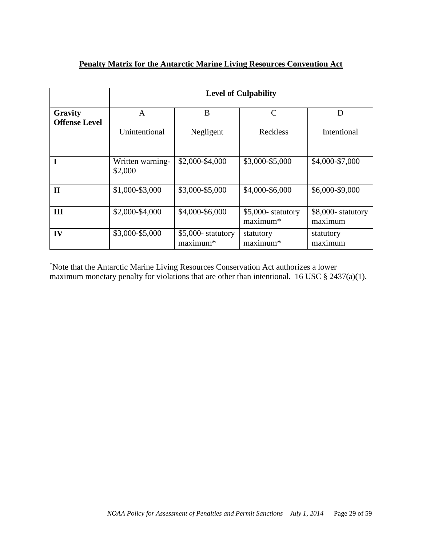## **Penalty Matrix for the Antarctic Marine Living Resources Convention Act**

|                                 | <b>Level of Culpability</b> |                                  |                                |                              |  |
|---------------------------------|-----------------------------|----------------------------------|--------------------------------|------------------------------|--|
| Gravity<br><b>Offense Level</b> | A                           | B                                | C                              | D                            |  |
|                                 | Unintentional               | Negligent                        | Reckless                       | Intentional                  |  |
|                                 | Written warning-<br>\$2,000 | \$2,000-\$4,000                  | \$3,000-\$5,000                | \$4,000-\$7,000              |  |
| $\mathbf{I}$                    | \$1,000-\$3,000             | \$3,000-\$5,000                  | \$4,000-\$6,000                | \$6,000-\$9,000              |  |
| Ш                               | \$2,000-\$4,000             | \$4,000-\$6,000                  | \$5,000- statutory<br>maximum* | \$8,000-statutory<br>maximum |  |
| IV                              | \$3,000-\$5,000             | $$5,000$ - statutory<br>maximum* | statutory<br>maximum*          | statutory<br>maximum         |  |

\* Note that the Antarctic Marine Living Resources Conservation Act authorizes a lower maximum monetary penalty for violations that are other than intentional. 16 USC § 2437(a)(1).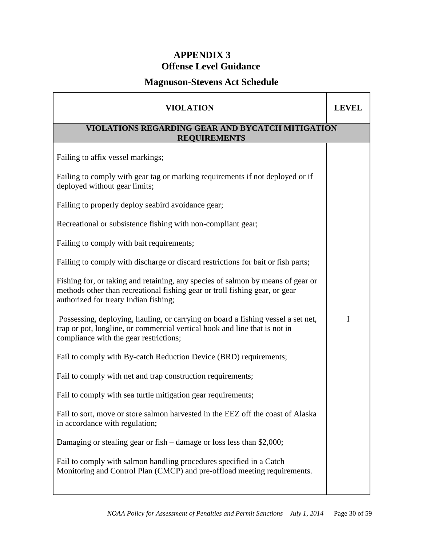## **APPENDIX 3 Offense Level Guidance**

## **Magnuson-Stevens Act Schedule**

| <b>VIOLATION</b>                                                                                                                                                                                         |   |  |  |  |
|----------------------------------------------------------------------------------------------------------------------------------------------------------------------------------------------------------|---|--|--|--|
| VIOLATIONS REGARDING GEAR AND BYCATCH MITIGATION<br><b>REQUIREMENTS</b>                                                                                                                                  |   |  |  |  |
| Failing to affix vessel markings;                                                                                                                                                                        |   |  |  |  |
| Failing to comply with gear tag or marking requirements if not deployed or if<br>deployed without gear limits;                                                                                           |   |  |  |  |
| Failing to properly deploy seabird avoidance gear;                                                                                                                                                       |   |  |  |  |
| Recreational or subsistence fishing with non-compliant gear;                                                                                                                                             |   |  |  |  |
| Failing to comply with bait requirements;                                                                                                                                                                |   |  |  |  |
| Failing to comply with discharge or discard restrictions for bait or fish parts;                                                                                                                         |   |  |  |  |
| Fishing for, or taking and retaining, any species of salmon by means of gear or<br>methods other than recreational fishing gear or troll fishing gear, or gear<br>authorized for treaty Indian fishing;  |   |  |  |  |
| Possessing, deploying, hauling, or carrying on board a fishing vessel a set net,<br>trap or pot, longline, or commercial vertical hook and line that is not in<br>compliance with the gear restrictions; | I |  |  |  |
| Fail to comply with By-catch Reduction Device (BRD) requirements;                                                                                                                                        |   |  |  |  |
| Fail to comply with net and trap construction requirements;                                                                                                                                              |   |  |  |  |
| Fail to comply with sea turtle mitigation gear requirements;                                                                                                                                             |   |  |  |  |
| Fail to sort, move or store salmon harvested in the EEZ off the coast of Alaska<br>in accordance with regulation;                                                                                        |   |  |  |  |
| Damaging or stealing gear or fish – damage or loss less than \$2,000;                                                                                                                                    |   |  |  |  |
| Fail to comply with salmon handling procedures specified in a Catch<br>Monitoring and Control Plan (CMCP) and pre-offload meeting requirements.                                                          |   |  |  |  |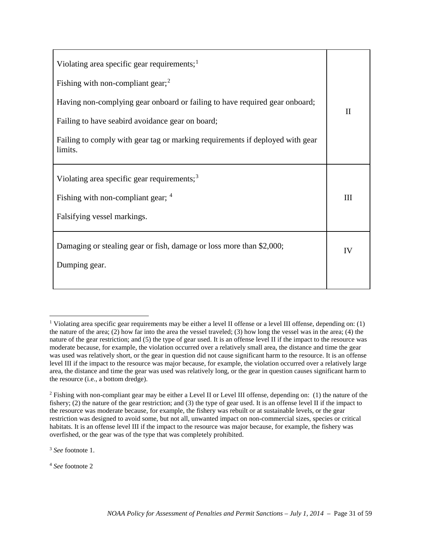| Violating area specific gear requirements; $1$                                           |              |
|------------------------------------------------------------------------------------------|--------------|
| Fishing with non-compliant gear; $2$                                                     |              |
| Having non-complying gear onboard or failing to have required gear onboard;              | $\mathbf{I}$ |
| Failing to have seabird avoidance gear on board;                                         |              |
| Failing to comply with gear tag or marking requirements if deployed with gear<br>limits. |              |
| Violating area specific gear requirements; $3$                                           |              |
| Fishing with non-compliant gear; 4                                                       | III          |
| Falsifying vessel markings.                                                              |              |
| Damaging or stealing gear or fish, damage or loss more than \$2,000;                     | IV           |
| Dumping gear.                                                                            |              |
|                                                                                          |              |

<span id="page-30-2"></span><sup>3</sup> *See* footnote 1.

 $\overline{a}$ 

<span id="page-30-3"></span><sup>4</sup> *See* footnote 2

<span id="page-30-0"></span><sup>&</sup>lt;sup>1</sup> Violating area specific gear requirements may be either a level II offense or a level III offense, depending on: (1) the nature of the area; (2) how far into the area the vessel traveled; (3) how long the vessel was in the area; (4) the nature of the gear restriction; and (5) the type of gear used. It is an offense level II if the impact to the resource was moderate because, for example, the violation occurred over a relatively small area, the distance and time the gear was used was relatively short, or the gear in question did not cause significant harm to the resource. It is an offense level III if the impact to the resource was major because, for example, the violation occurred over a relatively large area, the distance and time the gear was used was relatively long, or the gear in question causes significant harm to the resource (i.e., a bottom dredge).

<span id="page-30-1"></span><sup>2</sup> Fishing with non-compliant gear may be either a Level II or Level III offense, depending on: (1) the nature of the fishery; (2) the nature of the gear restriction; and (3) the type of gear used. It is an offense level II if the impact to the resource was moderate because, for example, the fishery was rebuilt or at sustainable levels, or the gear restriction was designed to avoid some, but not all, unwanted impact on non-commercial sizes, species or critical habitats. It is an offense level III if the impact to the resource was major because, for example, the fishery was overfished, or the gear was of the type that was completely prohibited.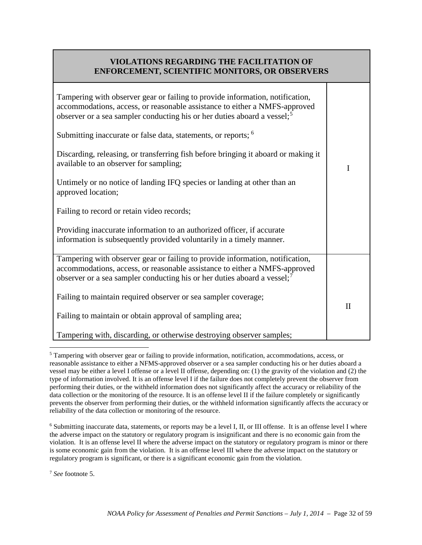## **VIOLATIONS REGARDING THE FACILITATION OF ENFORCEMENT, SCIENTIFIC MONITORS, OR OBSERVERS**

| Tampering with observer gear or failing to provide information, notification,<br>accommodations, access, or reasonable assistance to either a NMFS-approved<br>observer or a sea sampler conducting his or her duties aboard a vessel; <sup>5</sup> |              |
|-----------------------------------------------------------------------------------------------------------------------------------------------------------------------------------------------------------------------------------------------------|--------------|
| Submitting inaccurate or false data, statements, or reports; <sup>6</sup>                                                                                                                                                                           |              |
| Discarding, releasing, or transferring fish before bringing it aboard or making it<br>available to an observer for sampling;                                                                                                                        | I            |
| Untimely or no notice of landing IFQ species or landing at other than an<br>approved location;                                                                                                                                                      |              |
| Failing to record or retain video records;                                                                                                                                                                                                          |              |
| Providing inaccurate information to an authorized officer, if accurate<br>information is subsequently provided voluntarily in a timely manner.                                                                                                      |              |
| Tampering with observer gear or failing to provide information, notification,<br>accommodations, access, or reasonable assistance to either a NMFS-approved<br>observer or a sea sampler conducting his or her duties aboard a vessel; <sup>7</sup> |              |
| Failing to maintain required observer or sea sampler coverage;                                                                                                                                                                                      |              |
| Failing to maintain or obtain approval of sampling area;                                                                                                                                                                                            | $\mathbf{I}$ |
| Tampering with, discarding, or otherwise destroying observer samples;                                                                                                                                                                               |              |

<span id="page-31-0"></span><sup>5</sup> Tampering with observer gear or failing to provide information, notification, accommodations, access, or reasonable assistance to either a NFMS-approved observer or a sea sampler conducting his or her duties aboard a vessel may be either a level I offense or a level II offense, depending on: (1) the gravity of the violation and (2) the type of information involved. It is an offense level I if the failure does not completely prevent the observer from performing their duties, or the withheld information does not significantly affect the accuracy or reliability of the data collection or the monitoring of the resource. It is an offense level II if the failure completely or significantly prevents the observer from performing their duties, or the withheld information significantly affects the accuracy or reliability of the data collection or monitoring of the resource.  $\overline{a}$ 

<span id="page-31-2"></span><sup>7</sup> *See* footnote 5.

<span id="page-31-1"></span><sup>&</sup>lt;sup>6</sup> Submitting inaccurate data, statements, or reports may be a level I, II, or III offense. It is an offense level I where the adverse impact on the statutory or regulatory program is insignificant and there is no economic gain from the violation. It is an offense level II where the adverse impact on the statutory or regulatory program is minor or there is some economic gain from the violation. It is an offense level III where the adverse impact on the statutory or regulatory program is significant, or there is a significant economic gain from the violation.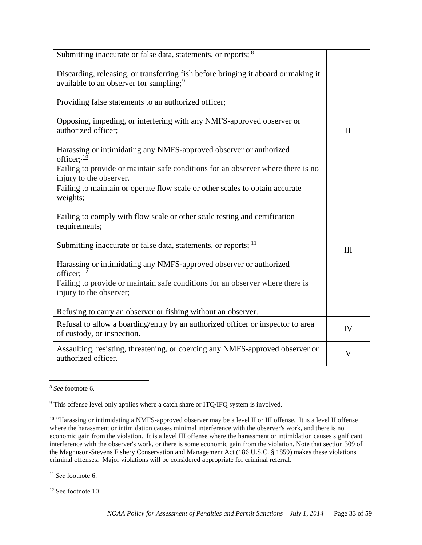| Submitting inaccurate or false data, statements, or reports; <sup>8</sup>                                                                 |                         |
|-------------------------------------------------------------------------------------------------------------------------------------------|-------------------------|
| Discarding, releasing, or transferring fish before bringing it aboard or making it<br>available to an observer for sampling; <sup>9</sup> |                         |
| Providing false statements to an authorized officer;                                                                                      |                         |
| Opposing, impeding, or interfering with any NMFS-approved observer or<br>authorized officer;                                              | $\mathbf{I}$            |
| Harassing or intimidating any NMFS-approved observer or authorized<br>officer; $\frac{10}{10}$                                            |                         |
| Failing to provide or maintain safe conditions for an observer where there is no<br>injury to the observer.                               |                         |
| Failing to maintain or operate flow scale or other scales to obtain accurate<br>weights;                                                  |                         |
| Failing to comply with flow scale or other scale testing and certification<br>requirements;                                               |                         |
| Submitting inaccurate or false data, statements, or reports; 11                                                                           | III                     |
| Harassing or intimidating any NMFS-approved observer or authorized<br>officer; $\frac{12}{1}$                                             |                         |
| Failing to provide or maintain safe conditions for an observer where there is<br>injury to the observer;                                  |                         |
| Refusing to carry an observer or fishing without an observer.                                                                             |                         |
| Refusal to allow a boarding/entry by an authorized officer or inspector to area<br>of custody, or inspection.                             | IV                      |
| Assaulting, resisting, threatening, or coercing any NMFS-approved observer or<br>authorized officer.                                      | $\overline{\mathsf{V}}$ |

<span id="page-32-0"></span><sup>8</sup> *See* footnote 6.  $\overline{a}$ 

<span id="page-32-3"></span><sup>11</sup> *See* footnote 6.

<span id="page-32-4"></span><sup>12</sup> See footnote 10.

<span id="page-32-1"></span><sup>&</sup>lt;sup>9</sup> This offense level only applies where a catch share or ITQ/IFQ system is involved.

<span id="page-32-2"></span><sup>&</sup>lt;sup>10</sup> "Harassing or intimidating a NMFS-approved observer may be a level II or III offense. It is a level II offense where the harassment or intimidation causes minimal interference with the observer's work, and there is no economic gain from the violation. It is a level III offense where the harassment or intimidation causes significant interference with the observer's work, or there is some economic gain from the violation. Note that section 309 of the Magnuson-Stevens Fishery Conservation and Management Act (186 U.S.C. § 1859) makes these violations criminal offenses. Major violations will be considered appropriate for criminal referral.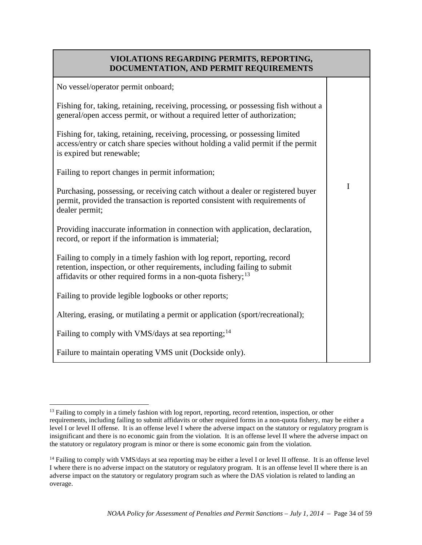## **VIOLATIONS REGARDING PERMITS, REPORTING, DOCUMENTATION, AND PERMIT REQUIREMENTS**

| No vessel/operator permit onboard;                                                                                                                                                                                                |   |
|-----------------------------------------------------------------------------------------------------------------------------------------------------------------------------------------------------------------------------------|---|
| Fishing for, taking, retaining, receiving, processing, or possessing fish without a<br>general/open access permit, or without a required letter of authorization;                                                                 |   |
| Fishing for, taking, retaining, receiving, processing, or possessing limited<br>access/entry or catch share species without holding a valid permit if the permit<br>is expired but renewable;                                     |   |
| Failing to report changes in permit information;                                                                                                                                                                                  |   |
| Purchasing, possessing, or receiving catch without a dealer or registered buyer<br>permit, provided the transaction is reported consistent with requirements of<br>dealer permit;                                                 | I |
| Providing inaccurate information in connection with application, declaration,<br>record, or report if the information is immaterial;                                                                                              |   |
| Failing to comply in a timely fashion with log report, reporting, record<br>retention, inspection, or other requirements, including failing to submit<br>affidavits or other required forms in a non-quota fishery; <sup>13</sup> |   |
| Failing to provide legible logbooks or other reports;                                                                                                                                                                             |   |
| Altering, erasing, or mutilating a permit or application (sport/recreational);                                                                                                                                                    |   |
| Failing to comply with VMS/days at sea reporting; <sup>14</sup>                                                                                                                                                                   |   |
| Failure to maintain operating VMS unit (Dockside only).                                                                                                                                                                           |   |

<span id="page-33-0"></span><sup>&</sup>lt;sup>13</sup> Failing to comply in a timely fashion with log report, reporting, record retention, inspection, or other requirements, including failing to submit affidavits or other required forms in a non-quota fishery, may be either a level I or level II offense. It is an offense level I where the adverse impact on the statutory or regulatory program is insignificant and there is no economic gain from the violation. It is an offense level II where the adverse impact on the statutory or regulatory program is minor or there is some economic gain from the violation.  $\overline{a}$ 

<span id="page-33-1"></span><sup>&</sup>lt;sup>14</sup> Failing to comply with VMS/days at sea reporting may be either a level I or level II offense. It is an offense level I where there is no adverse impact on the statutory or regulatory program. It is an offense level II where there is an adverse impact on the statutory or regulatory program such as where the DAS violation is related to landing an overage.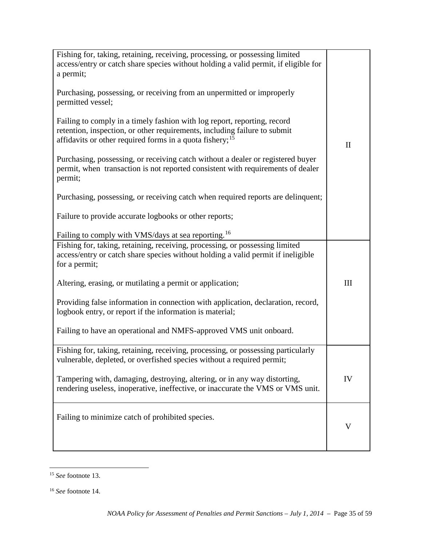| Fishing for, taking, retaining, receiving, processing, or possessing limited<br>access/entry or catch share species without holding a valid permit, if eligible for<br>a permit;<br>Purchasing, possessing, or receiving from an unpermitted or improperly<br>permitted vessel;<br>Failing to comply in a timely fashion with log report, reporting, record<br>retention, inspection, or other requirements, including failure to submit<br>affidavits or other required forms in a quota fishery; <sup>15</sup><br>Purchasing, possessing, or receiving catch without a dealer or registered buyer<br>permit, when transaction is not reported consistent with requirements of dealer<br>permit;<br>Purchasing, possessing, or receiving catch when required reports are delinquent;<br>Failure to provide accurate logbooks or other reports;<br>Failing to comply with VMS/days at sea reporting. <sup>16</sup> | $\mathbf{I}$ |  |
|--------------------------------------------------------------------------------------------------------------------------------------------------------------------------------------------------------------------------------------------------------------------------------------------------------------------------------------------------------------------------------------------------------------------------------------------------------------------------------------------------------------------------------------------------------------------------------------------------------------------------------------------------------------------------------------------------------------------------------------------------------------------------------------------------------------------------------------------------------------------------------------------------------------------|--------------|--|
| Fishing for, taking, retaining, receiving, processing, or possessing limited<br>access/entry or catch share species without holding a valid permit if ineligible<br>for a permit;                                                                                                                                                                                                                                                                                                                                                                                                                                                                                                                                                                                                                                                                                                                                  |              |  |
| Altering, erasing, or mutilating a permit or application;                                                                                                                                                                                                                                                                                                                                                                                                                                                                                                                                                                                                                                                                                                                                                                                                                                                          | III          |  |
| Providing false information in connection with application, declaration, record,<br>logbook entry, or report if the information is material;                                                                                                                                                                                                                                                                                                                                                                                                                                                                                                                                                                                                                                                                                                                                                                       |              |  |
| Failing to have an operational and NMFS-approved VMS unit onboard.                                                                                                                                                                                                                                                                                                                                                                                                                                                                                                                                                                                                                                                                                                                                                                                                                                                 |              |  |
| Fishing for, taking, retaining, receiving, processing, or possessing particularly<br>vulnerable, depleted, or overfished species without a required permit;                                                                                                                                                                                                                                                                                                                                                                                                                                                                                                                                                                                                                                                                                                                                                        |              |  |
| Tampering with, damaging, destroying, altering, or in any way distorting,<br>rendering useless, inoperative, ineffective, or inaccurate the VMS or VMS unit.                                                                                                                                                                                                                                                                                                                                                                                                                                                                                                                                                                                                                                                                                                                                                       | IV           |  |
| Failing to minimize catch of prohibited species.                                                                                                                                                                                                                                                                                                                                                                                                                                                                                                                                                                                                                                                                                                                                                                                                                                                                   |              |  |

<span id="page-34-0"></span><sup>15</sup> *See* footnote 13.  $\overline{a}$ 

<span id="page-34-1"></span><sup>16</sup> *See* footnote 14.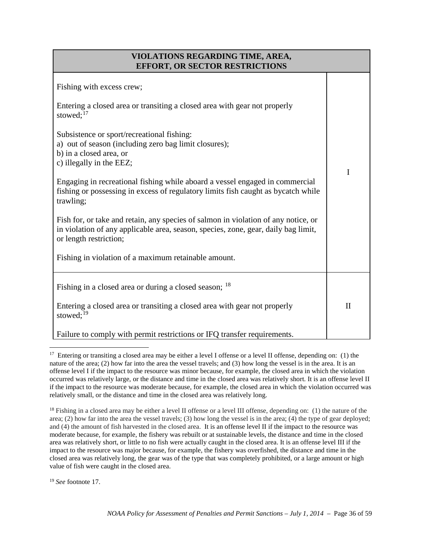## **VIOLATIONS REGARDING TIME, AREA, EFFORT, OR SECTOR RESTRICTIONS**

| Fishing with excess crew;<br>Entering a closed area or transiting a closed area with gear not properly<br>stowed; $^{17}$                                                                          |              |
|----------------------------------------------------------------------------------------------------------------------------------------------------------------------------------------------------|--------------|
| Subsistence or sport/recreational fishing:<br>a) out of season (including zero bag limit closures);<br>b) in a closed area, or<br>c) illegally in the EEZ;                                         |              |
| Engaging in recreational fishing while aboard a vessel engaged in commercial<br>fishing or possessing in excess of regulatory limits fish caught as bycatch while<br>trawling;                     | I            |
| Fish for, or take and retain, any species of salmon in violation of any notice, or<br>in violation of any applicable area, season, species, zone, gear, daily bag limit,<br>or length restriction; |              |
| Fishing in violation of a maximum retainable amount.                                                                                                                                               |              |
| Fishing in a closed area or during a closed season; <sup>18</sup>                                                                                                                                  |              |
| Entering a closed area or transiting a closed area with gear not properly<br>stowed; $^{19}$                                                                                                       | $\mathbf{I}$ |
| Failure to comply with permit restrictions or IFQ transfer requirements.                                                                                                                           |              |

<span id="page-35-0"></span><sup>&</sup>lt;sup>17</sup> Entering or transiting a closed area may be either a level I offense or a level II offense, depending on: (1) the nature of the area; (2) how far into the area the vessel travels; and (3) how long the vessel is in the area. It is an offense level I if the impact to the resource was minor because, for example, the closed area in which the violation occurred was relatively large, or the distance and time in the closed area was relatively short. It is an offense level II if the impact to the resource was moderate because, for example, the closed area in which the violation occurred was relatively small, or the distance and time in the closed area was relatively long.

<span id="page-35-1"></span><sup>18</sup> Fishing in a closed area may be either a level II offense or a level III offense, depending on: (1) the nature of the area; (2) how far into the area the vessel travels; (3) how long the vessel is in the area; (4) the type of gear deployed; and (4) the amount of fish harvested in the closed area. It is an offense level II if the impact to the resource was moderate because, for example, the fishery was rebuilt or at sustainable levels, the distance and time in the closed area was relatively short, or little to no fish were actually caught in the closed area. It is an offense level III if the impact to the resource was major because, for example, the fishery was overfished, the distance and time in the closed area was relatively long, the gear was of the type that was completely prohibited, or a large amount or high value of fish were caught in the closed area.

<span id="page-35-2"></span><sup>19</sup> *See* footnote 17.

 $\overline{a}$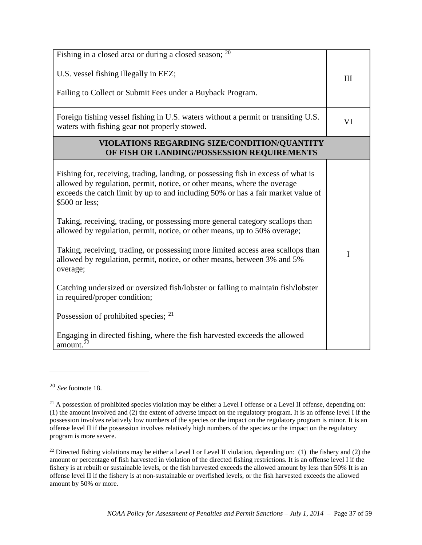$\overline{a}$ 

<span id="page-36-0"></span><sup>20</sup> *See* footnote 18.

<span id="page-36-1"></span><sup>&</sup>lt;sup>21</sup> A possession of prohibited species violation may be either a Level I offense or a Level II offense, depending on: (1) the amount involved and (2) the extent of adverse impact on the regulatory program. It is an offense level I if the possession involves relatively low numbers of the species or the impact on the regulatory program is minor. It is an offense level II if the possession involves relatively high numbers of the species or the impact on the regulatory program is more severe.

<span id="page-36-2"></span><sup>&</sup>lt;sup>22</sup> Directed fishing violations may be either a Level I or Level II violation, depending on: (1) the fishery and (2) the amount or percentage of fish harvested in violation of the directed fishing restrictions. It is an offense level I if the fishery is at rebuilt or sustainable levels, or the fish harvested exceeds the allowed amount by less than 50% It is an offense level II if the fishery is at non-sustainable or overfished levels, or the fish harvested exceeds the allowed amount by 50% or more.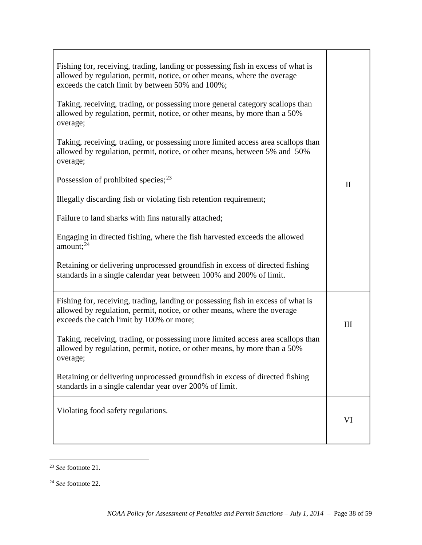| Fishing for, receiving, trading, landing or possessing fish in excess of what is<br>allowed by regulation, permit, notice, or other means, where the overage<br>exceeds the catch limit by between 50% and 100%; |              |
|------------------------------------------------------------------------------------------------------------------------------------------------------------------------------------------------------------------|--------------|
| Taking, receiving, trading, or possessing more general category scallops than<br>allowed by regulation, permit, notice, or other means, by more than a 50%<br>overage;                                           |              |
| Taking, receiving, trading, or possessing more limited access area scallops than<br>allowed by regulation, permit, notice, or other means, between 5% and 50%<br>overage;                                        |              |
| Possession of prohibited species; $^{23}$                                                                                                                                                                        | $\mathbf{I}$ |
| Illegally discarding fish or violating fish retention requirement;                                                                                                                                               |              |
| Failure to land sharks with fins naturally attached;                                                                                                                                                             |              |
| Engaging in directed fishing, where the fish harvested exceeds the allowed<br>amount; $^{24}$                                                                                                                    |              |
| Retaining or delivering unprocessed groundfish in excess of directed fishing<br>standards in a single calendar year between 100% and 200% of limit.                                                              |              |
| Fishing for, receiving, trading, landing or possessing fish in excess of what is<br>allowed by regulation, permit, notice, or other means, where the overage<br>exceeds the catch limit by 100% or more;         | III          |
| Taking, receiving, trading, or possessing more limited access area scallops than<br>allowed by regulation, permit, notice, or other means, by more than a 50%<br>overage;                                        |              |
| Retaining or delivering unprocessed groundfish in excess of directed fishing<br>standards in a single calendar year over 200% of limit.                                                                          |              |
| Violating food safety regulations.                                                                                                                                                                               | VI           |

<span id="page-37-0"></span><sup>23</sup> *See* footnote 21.  $\overline{a}$ 

<span id="page-37-1"></span><sup>24</sup> *See* footnote 22.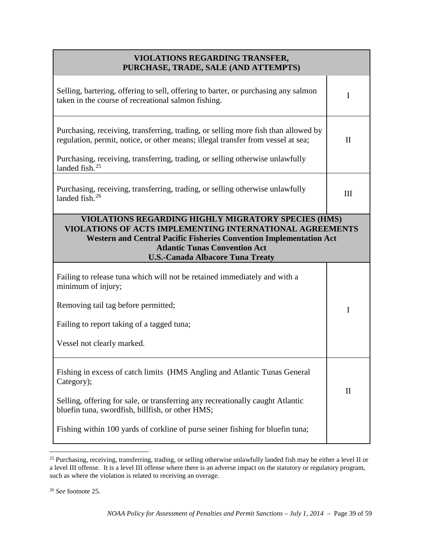| <b>VIOLATIONS REGARDING TRANSFER,</b><br>PURCHASE, TRADE, SALE (AND ATTEMPTS)                                                                                                                                                                                                    |              |  |
|----------------------------------------------------------------------------------------------------------------------------------------------------------------------------------------------------------------------------------------------------------------------------------|--------------|--|
| Selling, bartering, offering to sell, offering to barter, or purchasing any salmon<br>taken in the course of recreational salmon fishing.                                                                                                                                        | I            |  |
| Purchasing, receiving, transferring, trading, or selling more fish than allowed by<br>regulation, permit, notice, or other means; illegal transfer from vessel at sea;                                                                                                           | $\mathbf{I}$ |  |
| Purchasing, receiving, transferring, trading, or selling otherwise unlawfully<br>landed fish. <sup>25</sup>                                                                                                                                                                      |              |  |
| Purchasing, receiving, transferring, trading, or selling otherwise unlawfully<br>landed fish. $26$                                                                                                                                                                               | Ш            |  |
| VIOLATIONS REGARDING HIGHLY MIGRATORY SPECIES (HMS)<br>VIOLATIONS OF ACTS IMPLEMENTING INTERNATIONAL AGREEMENTS<br><b>Western and Central Pacific Fisheries Convention Implementation Act</b><br><b>Atlantic Tunas Convention Act</b><br><b>U.S.-Canada Albacore Tuna Treaty</b> |              |  |
| Failing to release tuna which will not be retained immediately and with a<br>minimum of injury;                                                                                                                                                                                  |              |  |
| Removing tail tag before permitted;                                                                                                                                                                                                                                              | I            |  |
| Failing to report taking of a tagged tuna;                                                                                                                                                                                                                                       |              |  |
| Vessel not clearly marked.                                                                                                                                                                                                                                                       |              |  |
| Fishing in excess of catch limits (HMS Angling and Atlantic Tunas General<br>Category);                                                                                                                                                                                          |              |  |
| Selling, offering for sale, or transferring any recreationally caught Atlantic<br>bluefin tuna, swordfish, billfish, or other HMS;                                                                                                                                               | $\mathbf{I}$ |  |
| Fishing within 100 yards of corkline of purse seiner fishing for bluefin tuna;                                                                                                                                                                                                   |              |  |

<span id="page-38-0"></span><sup>&</sup>lt;sup>25</sup> Purchasing, receiving, transferring, trading, or selling otherwise unlawfully landed fish may be either a level II or a level III offense. It is a level III offense where there is an adverse impact on the statutory or regulatory program, such as where the violation is related to receiving an overage.  $\overline{a}$ 

<span id="page-38-1"></span><sup>26</sup> *See* footnote 25.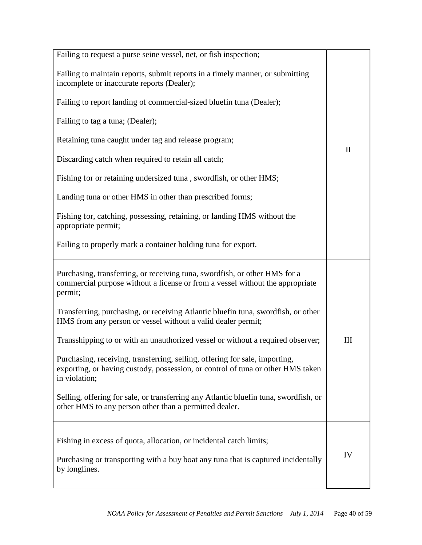| Failing to request a purse seine vessel, net, or fish inspection;                                                                                                               |              |
|---------------------------------------------------------------------------------------------------------------------------------------------------------------------------------|--------------|
| Failing to maintain reports, submit reports in a timely manner, or submitting<br>incomplete or inaccurate reports (Dealer);                                                     |              |
| Failing to report landing of commercial-sized bluefin tuna (Dealer);                                                                                                            |              |
| Failing to tag a tuna; (Dealer);                                                                                                                                                |              |
| Retaining tuna caught under tag and release program;                                                                                                                            | $\mathbf{I}$ |
| Discarding catch when required to retain all catch;                                                                                                                             |              |
| Fishing for or retaining undersized tuna, swordfish, or other HMS;                                                                                                              |              |
| Landing tuna or other HMS in other than prescribed forms;                                                                                                                       |              |
| Fishing for, catching, possessing, retaining, or landing HMS without the<br>appropriate permit;                                                                                 |              |
| Failing to properly mark a container holding tuna for export.                                                                                                                   |              |
| Purchasing, transferring, or receiving tuna, swordfish, or other HMS for a<br>commercial purpose without a license or from a vessel without the appropriate<br>permit;          |              |
| Transferring, purchasing, or receiving Atlantic bluefin tuna, swordfish, or other<br>HMS from any person or vessel without a valid dealer permit;                               |              |
| Transshipping to or with an unauthorized vessel or without a required observer;                                                                                                 | III          |
| Purchasing, receiving, transferring, selling, offering for sale, importing,<br>exporting, or having custody, possession, or control of tuna or other HMS taken<br>in violation; |              |
| Selling, offering for sale, or transferring any Atlantic bluefin tuna, swordfish, or<br>other HMS to any person other than a permitted dealer.                                  |              |
| Fishing in excess of quota, allocation, or incidental catch limits;                                                                                                             |              |
| Purchasing or transporting with a buy boat any tuna that is captured incidentally<br>by longlines.                                                                              | IV           |
|                                                                                                                                                                                 |              |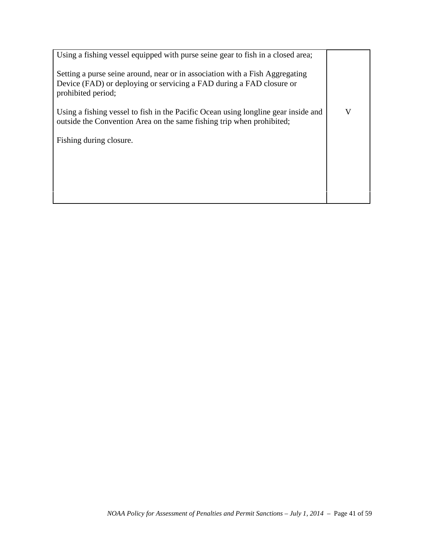| Using a fishing vessel equipped with purse seine gear to fish in a closed area;                                                                                            |   |
|----------------------------------------------------------------------------------------------------------------------------------------------------------------------------|---|
| Setting a purse seine around, near or in association with a Fish Aggregating<br>Device (FAD) or deploying or servicing a FAD during a FAD closure or<br>prohibited period; |   |
| Using a fishing vessel to fish in the Pacific Ocean using longline gear inside and<br>outside the Convention Area on the same fishing trip when prohibited;                | V |
| Fishing during closure.                                                                                                                                                    |   |
|                                                                                                                                                                            |   |
|                                                                                                                                                                            |   |
|                                                                                                                                                                            |   |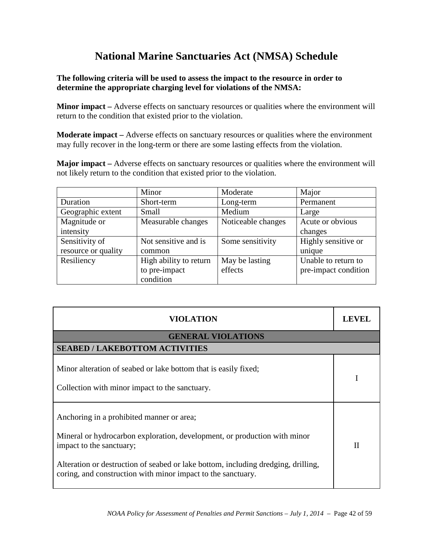# **National Marine Sanctuaries Act (NMSA) Schedule**

#### **The following criteria will be used to assess the impact to the resource in order to determine the appropriate charging level for violations of the NMSA:**

**Minor impact** – Adverse effects on sanctuary resources or qualities where the environment will return to the condition that existed prior to the violation.

**Moderate impact –** Adverse effects on sanctuary resources or qualities where the environment may fully recover in the long-term or there are some lasting effects from the violation.

**Major impact –** Adverse effects on sanctuary resources or qualities where the environment will not likely return to the condition that existed prior to the violation.

|                     | Minor                  | Moderate           | Major                |
|---------------------|------------------------|--------------------|----------------------|
| Duration            | Short-term             | Long-term          | Permanent            |
| Geographic extent   | Small                  | Medium             | Large                |
| Magnitude or        | Measurable changes     | Noticeable changes | Acute or obvious     |
| intensity           |                        |                    | changes              |
| Sensitivity of      | Not sensitive and is   | Some sensitivity   | Highly sensitive or  |
| resource or quality | common                 |                    | unique               |
| Resiliency          | High ability to return | May be lasting     | Unable to return to  |
|                     | to pre-impact          | effects            | pre-impact condition |
|                     | condition              |                    |                      |

| <b>VIOLATION</b>                                                                                                                                                                                                                                                                                        | <b>LEVEL</b> |
|---------------------------------------------------------------------------------------------------------------------------------------------------------------------------------------------------------------------------------------------------------------------------------------------------------|--------------|
| <b>GENERAL VIOLATIONS</b>                                                                                                                                                                                                                                                                               |              |
| <b>SEABED / LAKEBOTTOM ACTIVITIES</b>                                                                                                                                                                                                                                                                   |              |
| Minor alteration of seabed or lake bottom that is easily fixed;<br>Collection with minor impact to the sanctuary.                                                                                                                                                                                       |              |
| Anchoring in a prohibited manner or area;<br>Mineral or hydrocarbon exploration, development, or production with minor<br>impact to the sanctuary;<br>Alteration or destruction of seabed or lake bottom, including dredging, drilling,<br>coring, and construction with minor impact to the sanctuary. | H            |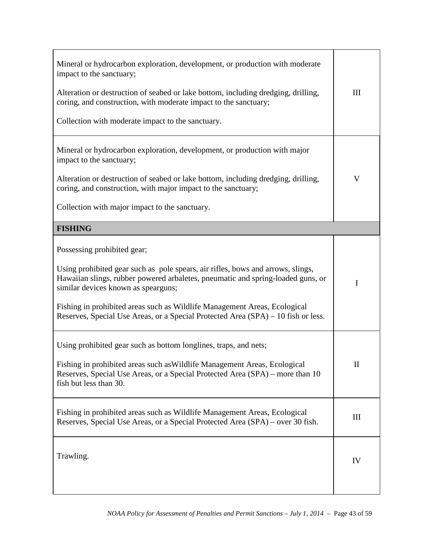| Mineral or hydrocarbon exploration, development, or production with moderate<br>impact to the sanctuary;<br>Alteration or destruction of seabed or lake bottom, including dredging, drilling,<br>coring, and construction, with moderate impact to the sanctuary;<br>Collection with moderate impact to the sanctuary.                                                                                     | $\mathop{\rm III}$ |
|------------------------------------------------------------------------------------------------------------------------------------------------------------------------------------------------------------------------------------------------------------------------------------------------------------------------------------------------------------------------------------------------------------|--------------------|
| Mineral or hydrocarbon exploration, development, or production with major<br>impact to the sanctuary;<br>Alteration or destruction of seabed or lake bottom, including dredging, drilling,<br>coring, and construction, with major impact to the sanctuary;<br>Collection with major impact to the sanctuary.                                                                                              | V                  |
| <b>FISHING</b>                                                                                                                                                                                                                                                                                                                                                                                             |                    |
| Possessing prohibited gear;<br>Using prohibited gear such as pole spears, air rifles, bows and arrows, slings,<br>Hawaiian slings, rubber powered arbaletes, pneumatic and spring-loaded guns, or<br>similar devices known as spearguns;<br>Fishing in prohibited areas such as Wildlife Management Areas, Ecological<br>Reserves, Special Use Areas, or a Special Protected Area (SPA) – 10 fish or less. | I                  |
| Using prohibited gear such as bottom longlines, traps, and nets;<br>Fishing in prohibited areas such as Wildlife Management Areas, Ecological<br>Reserves, Special Use Areas, or a Special Protected Area (SPA) – more than 10<br>fish but less than 30.                                                                                                                                                   | $\mathbf{I}$       |
| Fishing in prohibited areas such as Wildlife Management Areas, Ecological<br>Reserves, Special Use Areas, or a Special Protected Area (SPA) – over 30 fish.                                                                                                                                                                                                                                                | III                |
| Trawling.                                                                                                                                                                                                                                                                                                                                                                                                  | IV                 |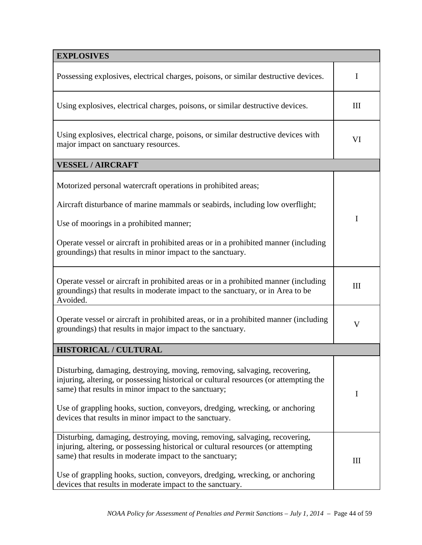| <b>EXPLOSIVES</b>                                                                                                                                                                                                                                                                                                                                                       |                                  |  |
|-------------------------------------------------------------------------------------------------------------------------------------------------------------------------------------------------------------------------------------------------------------------------------------------------------------------------------------------------------------------------|----------------------------------|--|
| Possessing explosives, electrical charges, poisons, or similar destructive devices.                                                                                                                                                                                                                                                                                     | I                                |  |
| Using explosives, electrical charges, poisons, or similar destructive devices.                                                                                                                                                                                                                                                                                          | III                              |  |
| Using explosives, electrical charge, poisons, or similar destructive devices with<br>major impact on sanctuary resources.                                                                                                                                                                                                                                               |                                  |  |
| <b>VESSEL / AIRCRAFT</b>                                                                                                                                                                                                                                                                                                                                                |                                  |  |
| Motorized personal watercraft operations in prohibited areas;                                                                                                                                                                                                                                                                                                           |                                  |  |
| Aircraft disturbance of marine mammals or seabirds, including low overflight;                                                                                                                                                                                                                                                                                           |                                  |  |
| Use of moorings in a prohibited manner;                                                                                                                                                                                                                                                                                                                                 | I                                |  |
| Operate vessel or aircraft in prohibited areas or in a prohibited manner (including<br>groundings) that results in minor impact to the sanctuary.                                                                                                                                                                                                                       |                                  |  |
| Operate vessel or aircraft in prohibited areas or in a prohibited manner (including<br>groundings) that results in moderate impact to the sanctuary, or in Area to be<br>Avoided.                                                                                                                                                                                       | III                              |  |
| Operate vessel or aircraft in prohibited areas, or in a prohibited manner (including<br>groundings) that results in major impact to the sanctuary.                                                                                                                                                                                                                      |                                  |  |
| <b>HISTORICAL / CULTURAL</b>                                                                                                                                                                                                                                                                                                                                            |                                  |  |
| Disturbing, damaging, destroying, moving, removing, salvaging, recovering,<br>injuring, altering, or possessing historical or cultural resources (or attempting the<br>same) that results in minor impact to the sanctuary;<br>Use of grappling hooks, suction, conveyors, dredging, wrecking, or anchoring<br>devices that results in minor impact to the sanctuary.   | I                                |  |
| Disturbing, damaging, destroying, moving, removing, salvaging, recovering,<br>injuring, altering, or possessing historical or cultural resources (or attempting<br>same) that results in moderate impact to the sanctuary;<br>Use of grappling hooks, suction, conveyors, dredging, wrecking, or anchoring<br>devices that results in moderate impact to the sanctuary. | $\mathop{\mathrm{III}}\nolimits$ |  |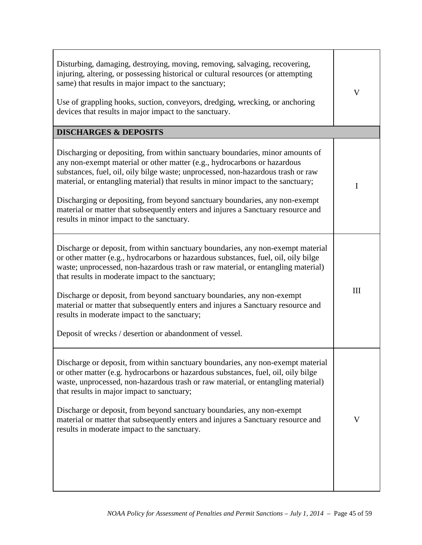| Disturbing, damaging, destroying, moving, removing, salvaging, recovering,<br>injuring, altering, or possessing historical or cultural resources (or attempting<br>same) that results in major impact to the sanctuary;<br>Use of grappling hooks, suction, conveyors, dredging, wrecking, or anchoring<br>devices that results in major impact to the sanctuary.<br><b>DISCHARGES &amp; DEPOSITS</b>                                                                                                                                                                                   | V           |
|-----------------------------------------------------------------------------------------------------------------------------------------------------------------------------------------------------------------------------------------------------------------------------------------------------------------------------------------------------------------------------------------------------------------------------------------------------------------------------------------------------------------------------------------------------------------------------------------|-------------|
|                                                                                                                                                                                                                                                                                                                                                                                                                                                                                                                                                                                         |             |
| Discharging or depositing, from within sanctuary boundaries, minor amounts of<br>any non-exempt material or other matter (e.g., hydrocarbons or hazardous<br>substances, fuel, oil, oily bilge waste; unprocessed, non-hazardous trash or raw<br>material, or entangling material) that results in minor impact to the sanctuary;                                                                                                                                                                                                                                                       | $\mathbf I$ |
| Discharging or depositing, from beyond sanctuary boundaries, any non-exempt<br>material or matter that subsequently enters and injures a Sanctuary resource and<br>results in minor impact to the sanctuary.                                                                                                                                                                                                                                                                                                                                                                            |             |
| Discharge or deposit, from within sanctuary boundaries, any non-exempt material<br>or other matter (e.g., hydrocarbons or hazardous substances, fuel, oil, oily bilge<br>waste; unprocessed, non-hazardous trash or raw material, or entangling material)<br>that results in moderate impact to the sanctuary;<br>Discharge or deposit, from beyond sanctuary boundaries, any non-exempt<br>material or matter that subsequently enters and injures a Sanctuary resource and<br>results in moderate impact to the sanctuary;<br>Deposit of wrecks / desertion or abandonment of vessel. | III         |
| Discharge or deposit, from within sanctuary boundaries, any non-exempt material<br>or other matter (e.g. hydrocarbons or hazardous substances, fuel, oil, oily bilge<br>waste, unprocessed, non-hazardous trash or raw material, or entangling material)<br>that results in major impact to sanctuary;<br>Discharge or deposit, from beyond sanctuary boundaries, any non-exempt<br>material or matter that subsequently enters and injures a Sanctuary resource and<br>results in moderate impact to the sanctuary.                                                                    | V           |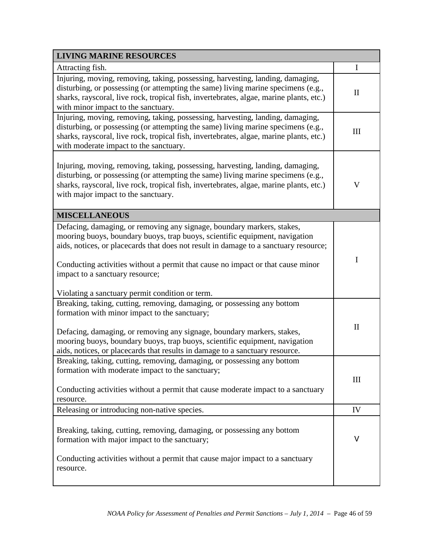| <b>LIVING MARINE RESOURCES</b>                                                                                                                                                                                                                                                                                                                                                                                         |              |
|------------------------------------------------------------------------------------------------------------------------------------------------------------------------------------------------------------------------------------------------------------------------------------------------------------------------------------------------------------------------------------------------------------------------|--------------|
| Attracting fish.                                                                                                                                                                                                                                                                                                                                                                                                       | $\bf{I}$     |
| Injuring, moving, removing, taking, possessing, harvesting, landing, damaging,<br>disturbing, or possessing (or attempting the same) living marine specimens (e.g.,<br>sharks, rayscoral, live rock, tropical fish, invertebrates, algae, marine plants, etc.)<br>with minor impact to the sanctuary.                                                                                                                  | $\mathbf{I}$ |
| Injuring, moving, removing, taking, possessing, harvesting, landing, damaging,<br>disturbing, or possessing (or attempting the same) living marine specimens (e.g.,<br>sharks, rayscoral, live rock, tropical fish, invertebrates, algae, marine plants, etc.)<br>with moderate impact to the sanctuary.                                                                                                               | III          |
| Injuring, moving, removing, taking, possessing, harvesting, landing, damaging,<br>disturbing, or possessing (or attempting the same) living marine specimens (e.g.,<br>sharks, rayscoral, live rock, tropical fish, invertebrates, algae, marine plants, etc.)<br>with major impact to the sanctuary.                                                                                                                  | $\mathbf V$  |
| <b>MISCELLANEOUS</b>                                                                                                                                                                                                                                                                                                                                                                                                   |              |
| Defacing, damaging, or removing any signage, boundary markers, stakes,<br>mooring buoys, boundary buoys, trap buoys, scientific equipment, navigation<br>aids, notices, or placecards that does not result in damage to a sanctuary resource;<br>Conducting activities without a permit that cause no impact or that cause minor<br>impact to a sanctuary resource;<br>Violating a sanctuary permit condition or term. | $\mathbf I$  |
| Breaking, taking, cutting, removing, damaging, or possessing any bottom<br>formation with minor impact to the sanctuary;<br>Defacing, damaging, or removing any signage, boundary markers, stakes,<br>mooring buoys, boundary buoys, trap buoys, scientific equipment, navigation<br>aids, notices, or placecards that results in damage to a sanctuary resource.                                                      | $\mathbf{I}$ |
| Breaking, taking, cutting, removing, damaging, or possessing any bottom<br>formation with moderate impact to the sanctuary;<br>Conducting activities without a permit that cause moderate impact to a sanctuary<br>resource.                                                                                                                                                                                           | III          |
| Releasing or introducing non-native species.                                                                                                                                                                                                                                                                                                                                                                           | IV           |
| Breaking, taking, cutting, removing, damaging, or possessing any bottom<br>formation with major impact to the sanctuary;<br>Conducting activities without a permit that cause major impact to a sanctuary<br>resource.                                                                                                                                                                                                 | V            |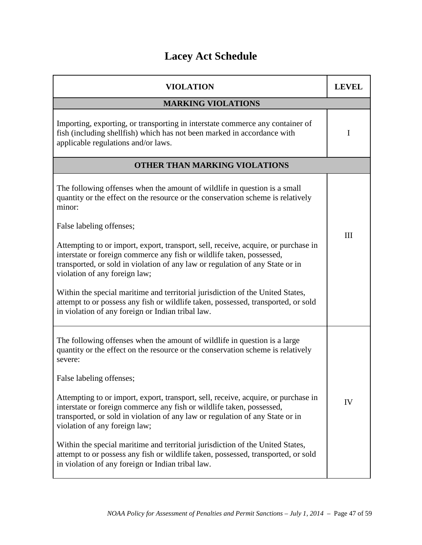# **Lacey Act Schedule**

| <b>VIOLATION</b>                                                                                                                                                                                                                                                              | <b>LEVEL</b> |  |
|-------------------------------------------------------------------------------------------------------------------------------------------------------------------------------------------------------------------------------------------------------------------------------|--------------|--|
| <b>MARKING VIOLATIONS</b>                                                                                                                                                                                                                                                     |              |  |
| Importing, exporting, or transporting in interstate commerce any container of<br>fish (including shellfish) which has not been marked in accordance with<br>applicable regulations and/or laws.                                                                               | I            |  |
| <b>OTHER THAN MARKING VIOLATIONS</b>                                                                                                                                                                                                                                          |              |  |
| The following offenses when the amount of wildlife in question is a small<br>quantity or the effect on the resource or the conservation scheme is relatively<br>minor:                                                                                                        |              |  |
| False labeling offenses;                                                                                                                                                                                                                                                      |              |  |
| Attempting to or import, export, transport, sell, receive, acquire, or purchase in<br>interstate or foreign commerce any fish or wildlife taken, possessed,<br>transported, or sold in violation of any law or regulation of any State or in<br>violation of any foreign law; | III          |  |
| Within the special maritime and territorial jurisdiction of the United States,<br>attempt to or possess any fish or wildlife taken, possessed, transported, or sold<br>in violation of any foreign or Indian tribal law.                                                      |              |  |
| The following offenses when the amount of wildlife in question is a large<br>quantity or the effect on the resource or the conservation scheme is relatively<br>severe:                                                                                                       |              |  |
| False labeling offenses;                                                                                                                                                                                                                                                      |              |  |
| Attempting to or import, export, transport, sell, receive, acquire, or purchase in<br>interstate or foreign commerce any fish or wildlife taken, possessed,<br>transported, or sold in violation of any law or regulation of any State or in<br>violation of any foreign law; | IV           |  |
| Within the special maritime and territorial jurisdiction of the United States,<br>attempt to or possess any fish or wildlife taken, possessed, transported, or sold<br>in violation of any foreign or Indian tribal law.                                                      |              |  |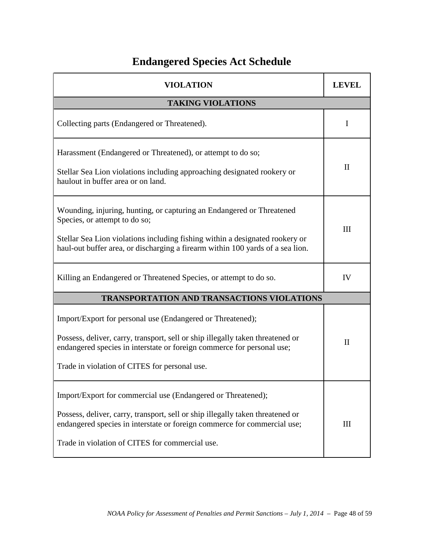# **Endangered Species Act Schedule**

| <b>VIOLATION</b>                                                                                                                                                                                                                                                              | LEVEL        |  |
|-------------------------------------------------------------------------------------------------------------------------------------------------------------------------------------------------------------------------------------------------------------------------------|--------------|--|
| <b>TAKING VIOLATIONS</b>                                                                                                                                                                                                                                                      |              |  |
| Collecting parts (Endangered or Threatened).                                                                                                                                                                                                                                  | I            |  |
| Harassment (Endangered or Threatened), or attempt to do so;<br>Stellar Sea Lion violations including approaching designated rookery or<br>haulout in buffer area or on land.                                                                                                  | $\mathbf{I}$ |  |
| Wounding, injuring, hunting, or capturing an Endangered or Threatened<br>Species, or attempt to do so;<br>Stellar Sea Lion violations including fishing within a designated rookery or<br>haul-out buffer area, or discharging a firearm within 100 yards of a sea lion.      |              |  |
| Killing an Endangered or Threatened Species, or attempt to do so.                                                                                                                                                                                                             | IV           |  |
| <b>TRANSPORTATION AND TRANSACTIONS VIOLATIONS</b>                                                                                                                                                                                                                             |              |  |
| Import/Export for personal use (Endangered or Threatened);<br>Possess, deliver, carry, transport, sell or ship illegally taken threatened or<br>endangered species in interstate or foreign commerce for personal use;<br>Trade in violation of CITES for personal use.       | $\mathbf{I}$ |  |
| Import/Export for commercial use (Endangered or Threatened);<br>Possess, deliver, carry, transport, sell or ship illegally taken threatened or<br>endangered species in interstate or foreign commerce for commercial use;<br>Trade in violation of CITES for commercial use. | III          |  |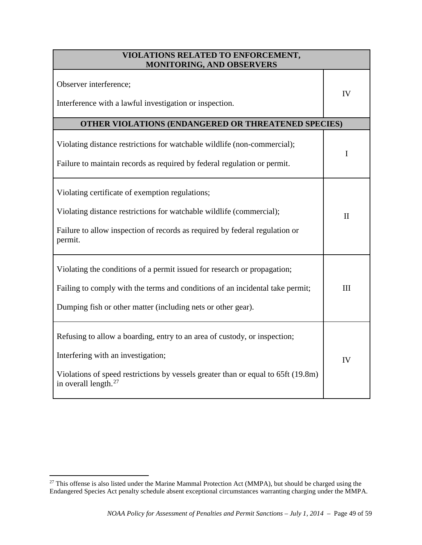| VIOLATIONS RELATED TO ENFORCEMENT,<br><b>MONITORING, AND OBSERVERS</b>                                                                                                                                                             |              |  |
|------------------------------------------------------------------------------------------------------------------------------------------------------------------------------------------------------------------------------------|--------------|--|
| Observer interference;<br>Interference with a lawful investigation or inspection.                                                                                                                                                  | IV           |  |
| OTHER VIOLATIONS (ENDANGERED OR THREATENED SPECIES)                                                                                                                                                                                |              |  |
| Violating distance restrictions for watchable wildlife (non-commercial);<br>Failure to maintain records as required by federal regulation or permit.                                                                               | L            |  |
| Violating certificate of exemption regulations;<br>Violating distance restrictions for watchable wildlife (commercial);<br>Failure to allow inspection of records as required by federal regulation or<br>permit.                  | $\mathbf{I}$ |  |
| Violating the conditions of a permit issued for research or propagation;<br>Failing to comply with the terms and conditions of an incidental take permit;<br>Dumping fish or other matter (including nets or other gear).          | III          |  |
| Refusing to allow a boarding, entry to an area of custody, or inspection;<br>Interfering with an investigation;<br>Violations of speed restrictions by vessels greater than or equal to 65ft (19.8m)<br>in overall length. $^{27}$ | IV           |  |

<span id="page-48-0"></span><sup>&</sup>lt;sup>27</sup> This offense is also listed under the Marine Mammal Protection Act (MMPA), but should be charged using the Endangered Species Act penalty schedule absent exceptional circumstances warranting charging under the MMPA.  $\overline{a}$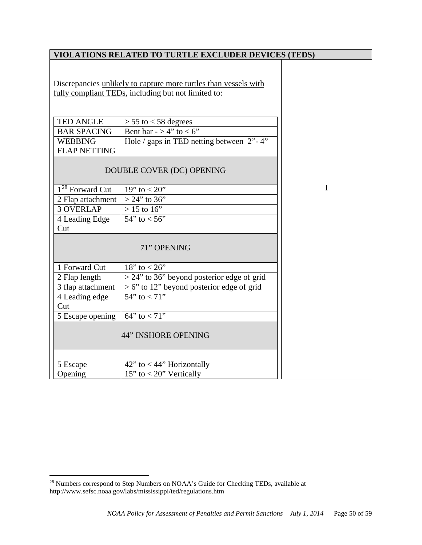|                                       | VIOLATIONS RELATED TO TURTLE EXCLUDER DEVICES (TEDS)             |             |
|---------------------------------------|------------------------------------------------------------------|-------------|
|                                       | Discrepancies unlikely to capture more turtles than vessels with |             |
|                                       | fully compliant TEDs, including but not limited to:              |             |
|                                       |                                                                  |             |
| <b>TED ANGLE</b>                      | $> 55$ to $< 58$ degrees                                         |             |
| <b>BAR SPACING</b>                    | Bent bar - > 4" to < 6"                                          |             |
| <b>WEBBING</b><br><b>FLAP NETTING</b> | Hole / gaps in TED netting between $2"$ -4"                      |             |
|                                       | DOUBLE COVER (DC) OPENING                                        |             |
| 1 <sup>28</sup> Forward Cut           | 19" to $< 20"$                                                   | $\mathbf I$ |
| 2 Flap attachment                     | $> 24$ " to 36"                                                  |             |
| <b>3 OVERLAP</b>                      | $> 15$ to 16"                                                    |             |
| 4 Leading Edge                        | $54"$ to $< 56"$                                                 |             |
| Cut                                   |                                                                  |             |
|                                       | 71" OPENING                                                      |             |
| 1 Forward Cut                         | 18" to $< 26$ "                                                  |             |
| 2 Flap length                         | $>$ 24" to 36" beyond posterior edge of grid                     |             |
| 3 flap attachment                     | $> 6$ " to 12" beyond posterior edge of grid                     |             |
| 4 Leading edge                        | $54"$ to $< 71"$                                                 |             |
| Cut                                   |                                                                  |             |
| 5 Escape opening                      | $64"$ to < 71"                                                   |             |
|                                       | <b>44" INSHORE OPENING</b>                                       |             |
| 5 Escape                              | 42" to $<$ 44" Horizontally                                      |             |
| Opening                               | $15"$ to < 20" Vertically                                        |             |

 $\overline{a}$ 

<span id="page-49-0"></span> $28$  Numbers correspond to Step Numbers on NOAA's Guide for Checking TEDs, available at http://www.sefsc.noaa.gov/labs/mississippi/ted/regulations.htm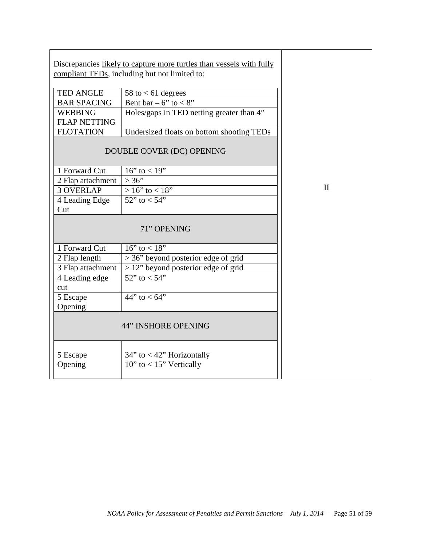|                     | Discrepancies likely to capture more turtles than vessels with fully<br>compliant TEDs, including but not limited to: |              |
|---------------------|-----------------------------------------------------------------------------------------------------------------------|--------------|
| <b>TED ANGLE</b>    |                                                                                                                       |              |
| <b>BAR SPACING</b>  | 58 to $< 61$ degrees<br>Bent bar – 6" to <8"                                                                          |              |
| <b>WEBBING</b>      |                                                                                                                       |              |
|                     | Holes/gaps in TED netting greater than 4"                                                                             |              |
| <b>FLAP NETTING</b> |                                                                                                                       |              |
| <b>FLOTATION</b>    | Undersized floats on bottom shooting TEDs                                                                             |              |
|                     | DOUBLE COVER (DC) OPENING                                                                                             |              |
| 1 Forward Cut       | 16" to $<$ 19"                                                                                                        |              |
| 2 Flap attachment   | >36"                                                                                                                  |              |
| <b>3 OVERLAP</b>    | $>16$ " to < 18"                                                                                                      | $\mathbf{I}$ |
| 4 Leading Edge      | 52" to $< 54"$                                                                                                        |              |
| Cut                 |                                                                                                                       |              |
|                     | 71" OPENING                                                                                                           |              |
| 1 Forward Cut       | 16" to $< 18"$                                                                                                        |              |
| 2 Flap length       | $>$ 36" beyond posterior edge of grid                                                                                 |              |
| 3 Flap attachment   | $> 12$ " beyond posterior edge of grid                                                                                |              |
| 4 Leading edge      | $\frac{1}{22}$ to < 54"                                                                                               |              |
| cut                 |                                                                                                                       |              |
| 5 Escape            | 44" to $< 64$ "                                                                                                       |              |
| Opening             |                                                                                                                       |              |
|                     | 44" INSHORE OPENING                                                                                                   |              |
| 5 Escape<br>Opening | $34"$ to < 42" Horizontally<br>$10"$ to < $15"$ Vertically                                                            |              |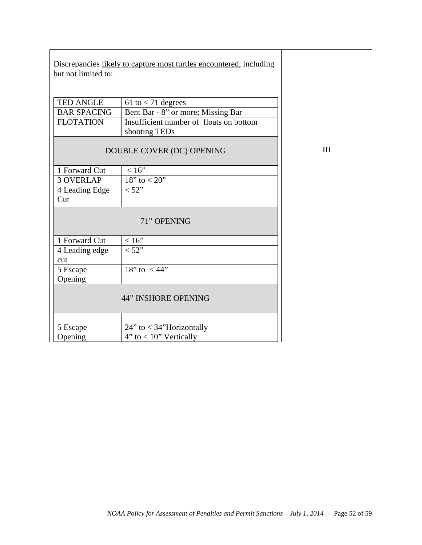| but not limited to:                                 | Discrepancies likely to capture most turtles encountered, including                                                    |     |
|-----------------------------------------------------|------------------------------------------------------------------------------------------------------------------------|-----|
| TED ANGLE<br><b>BAR SPACING</b><br><b>FLOTATION</b> | 61 to $<$ 71 degrees<br>Bent Bar - 8" or more; Missing Bar<br>Insufficient number of floats on bottom<br>shooting TEDs |     |
|                                                     | DOUBLE COVER (DC) OPENING                                                                                              | III |
| 1 Forward Cut                                       | <16"                                                                                                                   |     |
| <b>3 OVERLAP</b>                                    | 18" to $< 20$ "                                                                                                        |     |
| 4 Leading Edge<br>Cut                               | < 52"                                                                                                                  |     |
|                                                     | 71" OPENING                                                                                                            |     |
| 1 Forward Cut                                       | $<16"$                                                                                                                 |     |
| 4 Leading edge<br>cut                               | < 52"                                                                                                                  |     |
| 5 Escape<br>Opening                                 | 18" to $<$ 44"                                                                                                         |     |
|                                                     | <b>44" INSHORE OPENING</b>                                                                                             |     |
| 5 Escape<br>Opening                                 | $24$ " to < 34"Horizontally<br>$4"$ to $< 10"$ Vertically                                                              |     |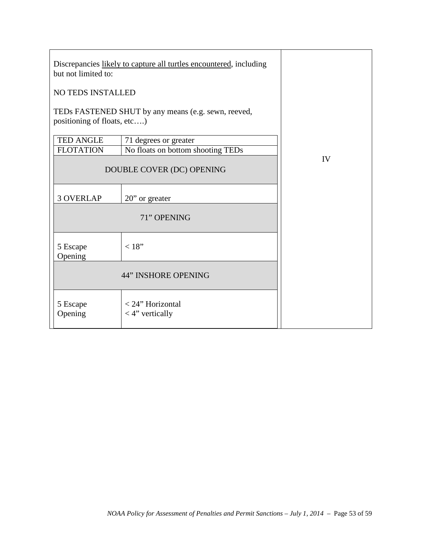| Discrepancies likely to capture all turtles encountered, including<br>but not limited to: |                                                     |    |  |
|-------------------------------------------------------------------------------------------|-----------------------------------------------------|----|--|
| NO TEDS INSTALLED                                                                         |                                                     |    |  |
| positioning of floats, etc)                                                               | TEDs FASTENED SHUT by any means (e.g. sewn, reeved, |    |  |
| <b>TED ANGLE</b>                                                                          | 71 degrees or greater                               |    |  |
| <b>FLOTATION</b>                                                                          | No floats on bottom shooting TEDs                   |    |  |
|                                                                                           | DOUBLE COVER (DC) OPENING                           | IV |  |
| <b>3 OVERLAP</b>                                                                          | 20" or greater                                      |    |  |
|                                                                                           | 71" OPENING                                         |    |  |
| 5 Escape<br>Opening                                                                       | < 18"                                               |    |  |
|                                                                                           | <b>44" INSHORE OPENING</b>                          |    |  |
| 5 Escape<br>Opening                                                                       | < 24" Horizontal<br>$<$ 4" vertically               |    |  |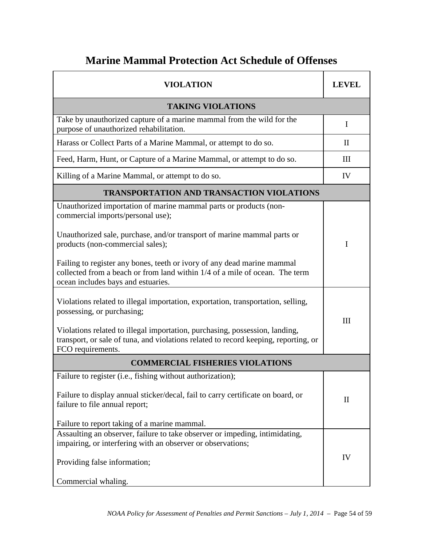# **Marine Mammal Protection Act Schedule of Offenses**

| <b>VIOLATION</b>                                                                                                                                                                             | LEVEL        |  |
|----------------------------------------------------------------------------------------------------------------------------------------------------------------------------------------------|--------------|--|
| <b>TAKING VIOLATIONS</b>                                                                                                                                                                     |              |  |
| Take by unauthorized capture of a marine mammal from the wild for the<br>purpose of unauthorized rehabilitation.                                                                             |              |  |
| Harass or Collect Parts of a Marine Mammal, or attempt to do so.                                                                                                                             | $\mathbf{I}$ |  |
| Feed, Harm, Hunt, or Capture of a Marine Mammal, or attempt to do so.                                                                                                                        | III          |  |
| Killing of a Marine Mammal, or attempt to do so.                                                                                                                                             | IV           |  |
| <b>TRANSPORTATION AND TRANSACTION VIOLATIONS</b>                                                                                                                                             |              |  |
| Unauthorized importation of marine mammal parts or products (non-<br>commercial imports/personal use);                                                                                       |              |  |
| Unauthorized sale, purchase, and/or transport of marine mammal parts or<br>products (non-commercial sales);                                                                                  | I            |  |
| Failing to register any bones, teeth or ivory of any dead marine mammal<br>collected from a beach or from land within 1/4 of a mile of ocean. The term<br>ocean includes bays and estuaries. |              |  |
| Violations related to illegal importation, exportation, transportation, selling,<br>possessing, or purchasing;                                                                               | III          |  |
| Violations related to illegal importation, purchasing, possession, landing,<br>transport, or sale of tuna, and violations related to record keeping, reporting, or<br>FCO requirements.      |              |  |
| <b>COMMERCIAL FISHERIES VIOLATIONS</b>                                                                                                                                                       |              |  |
| Failure to register (i.e., fishing without authorization);                                                                                                                                   |              |  |
| Failure to display annual sticker/decal, fail to carry certificate on board, or<br>failure to file annual report;                                                                            | $\mathbf{I}$ |  |
| Failure to report taking of a marine mammal.                                                                                                                                                 |              |  |
| Assaulting an observer, failure to take observer or impeding, intimidating,<br>impairing, or interfering with an observer or observations;                                                   |              |  |
| Providing false information;                                                                                                                                                                 | IV           |  |
| Commercial whaling.                                                                                                                                                                          |              |  |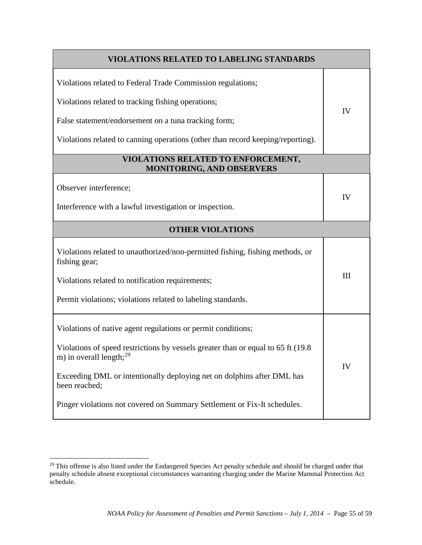| <b>VIOLATIONS RELATED TO LABELING STANDARDS</b>                                                                    |     |  |
|--------------------------------------------------------------------------------------------------------------------|-----|--|
| Violations related to Federal Trade Commission regulations;                                                        |     |  |
| Violations related to tracking fishing operations;                                                                 |     |  |
| False statement/endorsement on a tuna tracking form;                                                               | IV  |  |
| Violations related to canning operations (other than record keeping/reporting).                                    |     |  |
| VIOLATIONS RELATED TO ENFORCEMENT,<br>MONITORING, AND OBSERVERS                                                    |     |  |
| Observer interference;                                                                                             |     |  |
| Interference with a lawful investigation or inspection.                                                            | IV  |  |
| <b>OTHER VIOLATIONS</b>                                                                                            |     |  |
| Violations related to unauthorized/non-permitted fishing, fishing methods, or<br>fishing gear;                     |     |  |
| Violations related to notification requirements;                                                                   | III |  |
| Permit violations; violations related to labeling standards.                                                       |     |  |
| Violations of native agent regulations or permit conditions;                                                       |     |  |
| Violations of speed restrictions by vessels greater than or equal to 65 ft (19.8)<br>m) in overall length; $^{29}$ |     |  |
| Exceeding DML or intentionally deploying net on dolphins after DML has<br>been reached;                            | IV  |  |
| Pinger violations not covered on Summary Settlement or Fix-It schedules.                                           |     |  |

 $\overline{a}$ 

<span id="page-54-0"></span><sup>&</sup>lt;sup>29</sup> This offense is also listed under the Endangered Species Act penalty schedule and should be charged under that penalty schedule absent exceptional circumstances warranting charging under the Marine Mammal Protection Act schedule.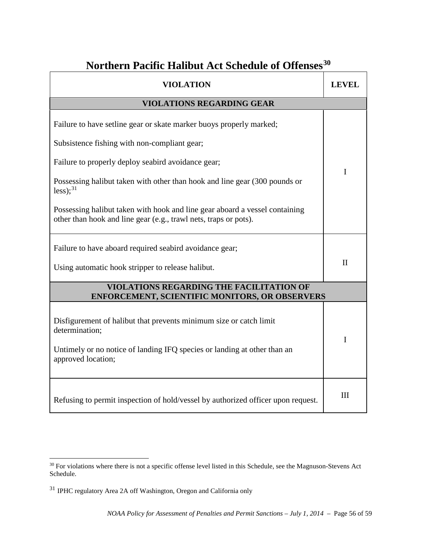# **Northern Pacific Halibut Act Schedule of Offenses[30](#page-55-0)**

| <b>VIOLATION</b>                                                                                                                                                 | <b>LEVEL</b> |  |
|------------------------------------------------------------------------------------------------------------------------------------------------------------------|--------------|--|
| <b>VIOLATIONS REGARDING GEAR</b>                                                                                                                                 |              |  |
| Failure to have setline gear or skate marker buoys properly marked;                                                                                              |              |  |
| Subsistence fishing with non-compliant gear;                                                                                                                     |              |  |
| Failure to properly deploy seabird avoidance gear;                                                                                                               | I            |  |
| Possessing halibut taken with other than hook and line gear (300 pounds or<br>less); $^{31}$                                                                     |              |  |
| Possessing halibut taken with hook and line gear aboard a vessel containing<br>other than hook and line gear (e.g., trawl nets, traps or pots).                  |              |  |
| Failure to have aboard required seabird avoidance gear;                                                                                                          | $\mathbf{I}$ |  |
| Using automatic hook stripper to release halibut.                                                                                                                |              |  |
| VIOLATIONS REGARDING THE FACILITATION OF<br><b>ENFORCEMENT, SCIENTIFIC MONITORS, OR OBSERVERS</b>                                                                |              |  |
| Disfigurement of halibut that prevents minimum size or catch limit<br>determination;<br>Untimely or no notice of landing IFQ species or landing at other than an | I            |  |
| approved location;                                                                                                                                               |              |  |
| Refusing to permit inspection of hold/vessel by authorized officer upon request.                                                                                 | III          |  |

 $\overline{a}$ 

<span id="page-55-0"></span><sup>&</sup>lt;sup>30</sup> For violations where there is not a specific offense level listed in this Schedule, see the Magnuson-Stevens Act Schedule.

<span id="page-55-1"></span><sup>31</sup> IPHC regulatory Area 2A off Washington, Oregon and California only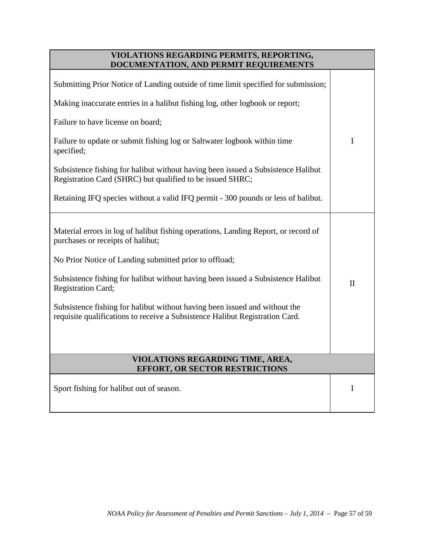| VIOLATIONS REGARDING PERMITS, REPORTING,<br>DOCUMENTATION, AND PERMIT REQUIREMENTS                                                                         |              |
|------------------------------------------------------------------------------------------------------------------------------------------------------------|--------------|
| Submitting Prior Notice of Landing outside of time limit specified for submission;                                                                         |              |
| Making inaccurate entries in a halibut fishing log, other logbook or report;                                                                               |              |
| Failure to have license on board;                                                                                                                          |              |
| Failure to update or submit fishing log or Saltwater logbook within time<br>specified;                                                                     | I            |
| Subsistence fishing for halibut without having been issued a Subsistence Halibut<br>Registration Card (SHRC) but qualified to be issued SHRC;              |              |
| Retaining IFQ species without a valid IFQ permit - 300 pounds or less of halibut.                                                                          |              |
| Material errors in log of halibut fishing operations, Landing Report, or record of<br>purchases or receipts of halibut;                                    |              |
| No Prior Notice of Landing submitted prior to offload;                                                                                                     |              |
| Subsistence fishing for halibut without having been issued a Subsistence Halibut<br>Registration Card;                                                     | $\mathbf{I}$ |
| Subsistence fishing for halibut without having been issued and without the<br>requisite qualifications to receive a Subsistence Halibut Registration Card. |              |
|                                                                                                                                                            |              |
| <b>VIOLATIONS REGARDING TIME, AREA,</b><br><b>EFFORT, OR SECTOR RESTRICTIONS</b>                                                                           |              |
| Sport fishing for halibut out of season.                                                                                                                   | $\bf{l}$     |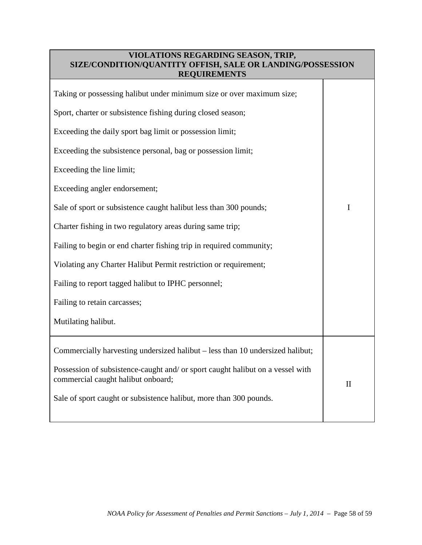## **VIOLATIONS REGARDING SEASON, TRIP, SIZE/CONDITION/QUANTITY OFFISH, SALE OR LANDING/POSSESSION REQUIREMENTS**

| Taking or possessing halibut under minimum size or over maximum size;                                                |              |
|----------------------------------------------------------------------------------------------------------------------|--------------|
| Sport, charter or subsistence fishing during closed season;                                                          |              |
| Exceeding the daily sport bag limit or possession limit;                                                             |              |
| Exceeding the subsistence personal, bag or possession limit;                                                         |              |
| Exceeding the line limit;                                                                                            |              |
| Exceeding angler endorsement;                                                                                        |              |
| Sale of sport or subsistence caught halibut less than 300 pounds;                                                    | I            |
| Charter fishing in two regulatory areas during same trip;                                                            |              |
| Failing to begin or end charter fishing trip in required community;                                                  |              |
| Violating any Charter Halibut Permit restriction or requirement;                                                     |              |
| Failing to report tagged halibut to IPHC personnel;                                                                  |              |
| Failing to retain carcasses;                                                                                         |              |
| Mutilating halibut.                                                                                                  |              |
| Commercially harvesting undersized halibut - less than 10 undersized halibut;                                        |              |
| Possession of subsistence-caught and/ or sport caught halibut on a vessel with<br>commercial caught halibut onboard; | $\mathbf{I}$ |
| Sale of sport caught or subsistence halibut, more than 300 pounds.                                                   |              |
|                                                                                                                      |              |